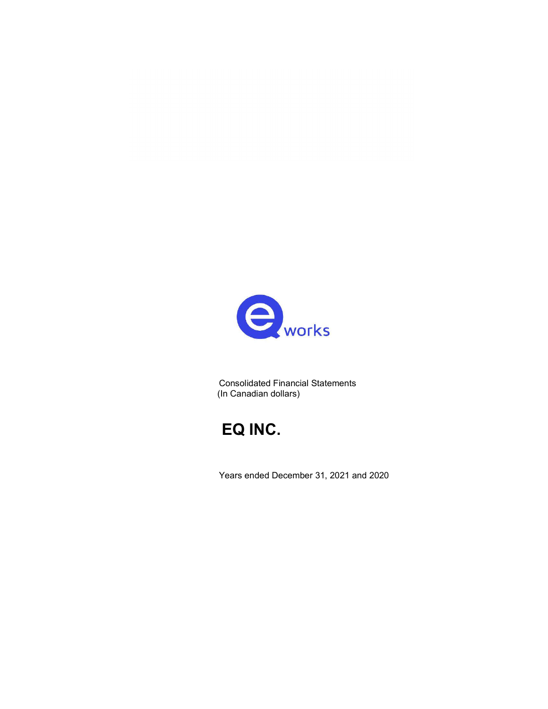

Consolidated Financial Statements (In Canadian dollars)

### **EQ INC.**

Years ended December 31, 2021 and 2020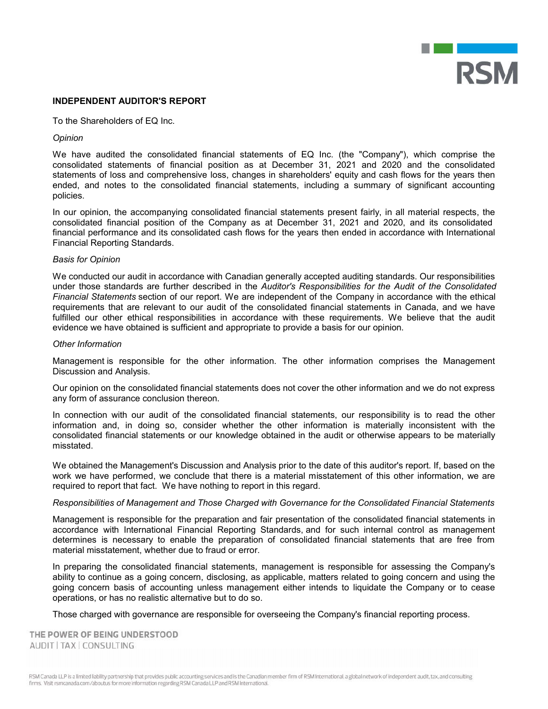

#### INDEPENDENT AUDITOR'S REPORT

To the Shareholders of EQ Inc.

#### **Opinion**

We have audited the consolidated financial statements of EQ Inc. (the "Company"), which comprise the consolidated statements of financial position as at December 31, 2021 and 2020 and the consolidated statements of loss and comprehensive loss, changes in shareholders' equity and cash flows for the years then ended, and notes to the consolidated financial statements, including a summary of significant accounting policies.

In our opinion, the accompanying consolidated financial statements present fairly, in all material respects, the consolidated financial position of the Company as at December 31, 2021 and 2020, and its consolidated financial performance and its consolidated cash flows for the years then ended in accordance with International Financial Reporting Standards.

#### Basis for Opinion

We conducted our audit in accordance with Canadian generally accepted auditing standards. Our responsibilities under those standards are further described in the Auditor's Responsibilities for the Audit of the Consolidated Financial Statements section of our report. We are independent of the Company in accordance with the ethical requirements that are relevant to our audit of the consolidated financial statements in Canada, and we have fulfilled our other ethical responsibilities in accordance with these requirements. We believe that the audit evidence we have obtained is sufficient and appropriate to provide a basis for our opinion.

#### Other Information

Management is responsible for the other information. The other information comprises the Management Discussion and Analysis.

Our opinion on the consolidated financial statements does not cover the other information and we do not express any form of assurance conclusion thereon.

In connection with our audit of the consolidated financial statements, our responsibility is to read the other information and, in doing so, consider whether the other information is materially inconsistent with the consolidated financial statements or our knowledge obtained in the audit or otherwise appears to be materially misstated.

We obtained the Management's Discussion and Analysis prior to the date of this auditor's report. If, based on the work we have performed, we conclude that there is a material misstatement of this other information, we are required to report that fact. We have nothing to report in this regard.

#### Responsibilities of Management and Those Charged with Governance for the Consolidated Financial Statements

Management is responsible for the preparation and fair presentation of the consolidated financial statements in accordance with International Financial Reporting Standards, and for such internal control as management determines is necessary to enable the preparation of consolidated financial statements that are free from material misstatement, whether due to fraud or error.

In preparing the consolidated financial statements, management is responsible for assessing the Company's ability to continue as a going concern, disclosing, as applicable, matters related to going concern and using the going concern basis of accounting unless management either intends to liquidate the Company or to cease operations, or has no realistic alternative but to do so.

Those charged with governance are responsible for overseeing the Company's financial reporting process.

THE POWER OF BEING UNDERSTOOD AUDIT | TAX | CONSULTING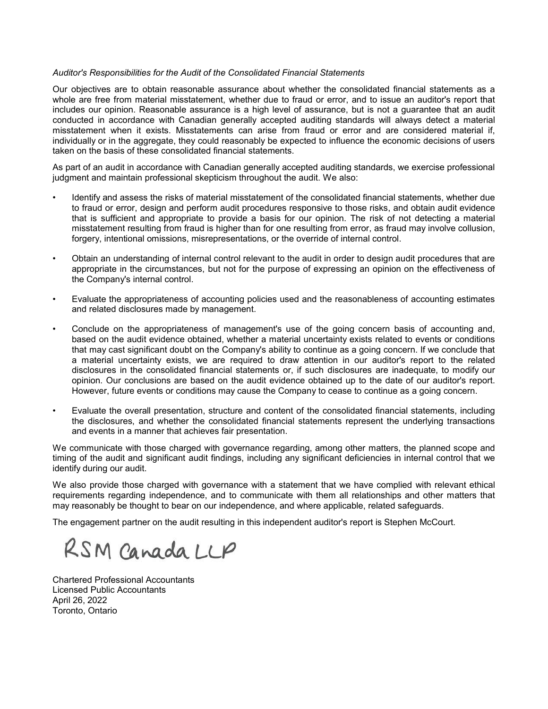#### Auditor's Responsibilities for the Audit of the Consolidated Financial Statements

Our objectives are to obtain reasonable assurance about whether the consolidated financial statements as a whole are free from material misstatement, whether due to fraud or error, and to issue an auditor's report that includes our opinion. Reasonable assurance is a high level of assurance, but is not a guarantee that an audit conducted in accordance with Canadian generally accepted auditing standards will always detect a material misstatement when it exists. Misstatements can arise from fraud or error and are considered material if, individually or in the aggregate, they could reasonably be expected to influence the economic decisions of users taken on the basis of these consolidated financial statements.

As part of an audit in accordance with Canadian generally accepted auditing standards, we exercise professional judgment and maintain professional skepticism throughout the audit. We also:

- Identify and assess the risks of material misstatement of the consolidated financial statements, whether due to fraud or error, design and perform audit procedures responsive to those risks, and obtain audit evidence that is sufficient and appropriate to provide a basis for our opinion. The risk of not detecting a material misstatement resulting from fraud is higher than for one resulting from error, as fraud may involve collusion, forgery, intentional omissions, misrepresentations, or the override of internal control.
- Obtain an understanding of internal control relevant to the audit in order to design audit procedures that are appropriate in the circumstances, but not for the purpose of expressing an opinion on the effectiveness of the Company's internal control.
- Evaluate the appropriateness of accounting policies used and the reasonableness of accounting estimates and related disclosures made by management.
- Conclude on the appropriateness of management's use of the going concern basis of accounting and, based on the audit evidence obtained, whether a material uncertainty exists related to events or conditions that may cast significant doubt on the Company's ability to continue as a going concern. If we conclude that a material uncertainty exists, we are required to draw attention in our auditor's report to the related disclosures in the consolidated financial statements or, if such disclosures are inadequate, to modify our opinion. Our conclusions are based on the audit evidence obtained up to the date of our auditor's report. However, future events or conditions may cause the Company to cease to continue as a going concern.
- Evaluate the overall presentation, structure and content of the consolidated financial statements, including the disclosures, and whether the consolidated financial statements represent the underlying transactions and events in a manner that achieves fair presentation.

We communicate with those charged with governance regarding, among other matters, the planned scope and timing of the audit and significant audit findings, including any significant deficiencies in internal control that we identify during our audit.

We also provide those charged with governance with a statement that we have complied with relevant ethical requirements regarding independence, and to communicate with them all relationships and other matters that may reasonably be thought to bear on our independence, and where applicable, related safeguards.

The engagement partner on the audit resulting in this independent auditor's report is Stephen McCourt.

RSM Canada LLP

Chartered Professional Accountants Licensed Public Accountants April 26, 2022 Toronto, Ontario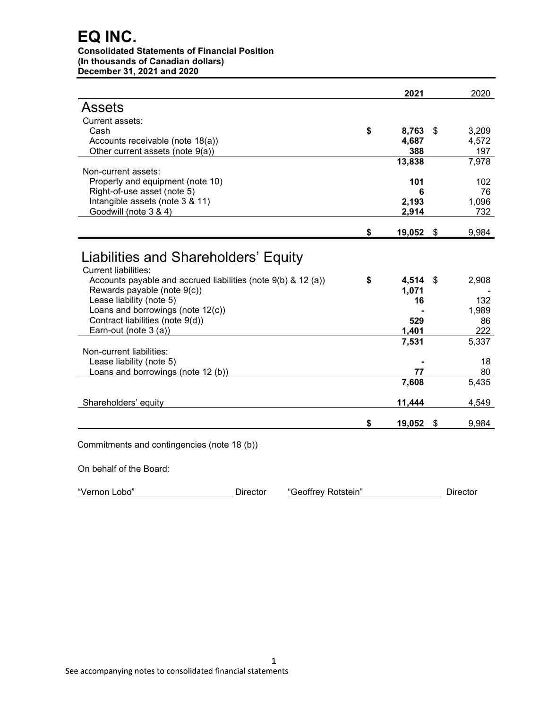#### **Consolidated Statements of Financial Position (In thousands of Canadian dollars) December 31, 2021 and 2020**

|                                                                     | 2021         | 2020        |
|---------------------------------------------------------------------|--------------|-------------|
| Assets                                                              |              |             |
| Current assets:                                                     |              |             |
| Cash                                                                | \$<br>8,763  | \$<br>3,209 |
| Accounts receivable (note 18(a))                                    | 4,687        | 4,572       |
| Other current assets (note 9(a))                                    | 388          | 197         |
|                                                                     | 13,838       | 7,978       |
| Non-current assets:                                                 |              |             |
| Property and equipment (note 10)                                    | 101          | 102         |
| Right-of-use asset (note 5)                                         | 6            | 76          |
| Intangible assets (note 3 & 11)                                     | 2,193        | 1,096       |
| Goodwill (note 3 & 4)                                               | 2,914        | 732         |
|                                                                     | \$<br>19,052 | \$<br>9,984 |
|                                                                     |              |             |
| Liabilities and Shareholders' Equity<br><b>Current liabilities:</b> |              |             |
| Accounts payable and accrued liabilities (note 9(b) & 12 (a))       | \$<br>4,514  | \$<br>2,908 |
| Rewards payable (note 9(c))                                         | 1,071        |             |
| Lease liability (note 5)                                            | 16           | 132         |
| Loans and borrowings (note 12(c))                                   |              | 1,989       |
| Contract liabilities (note 9(d))                                    | 529          | 86          |
| Earn-out (note 3 (a))                                               | 1,401        | 222         |
|                                                                     | 7,531        | 5,337       |
| Non-current liabilities:                                            |              |             |
| Lease liability (note 5)                                            | 77           | 18<br>80    |
| Loans and borrowings (note 12 (b))                                  | 7,608        | 5,435       |
|                                                                     |              |             |
| Shareholders' equity                                                | 11,444       | 4,549       |
|                                                                     | \$<br>19,052 | \$<br>9,984 |
| Commitments and contingencies (note 18 (b))                         |              |             |

On behalf of the Board:

"Vernon Lobo" Director "Geoffrey Rotstein" Director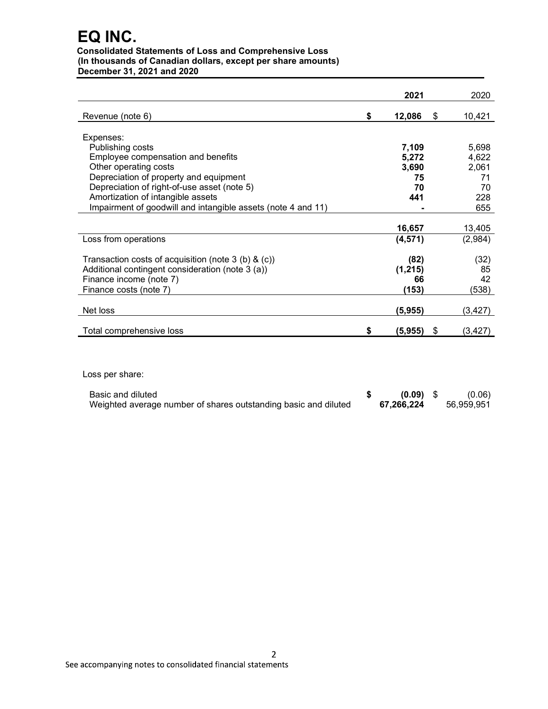## **EQ INC.**

#### **Consolidated Statements of Loss and Comprehensive Loss (In thousands of Canadian dollars, except per share amounts)**

**December 31, 2021 and 2020**

|                                                              | 2021          | 2020           |
|--------------------------------------------------------------|---------------|----------------|
| Revenue (note 6)                                             | \$<br>12,086  | \$<br>10,421   |
|                                                              |               |                |
| Expenses:                                                    |               |                |
| Publishing costs                                             | 7,109         | 5,698          |
| Employee compensation and benefits                           | 5,272         | 4,622          |
| Other operating costs                                        | 3,690         | 2,061          |
| Depreciation of property and equipment                       | 75            | 71             |
| Depreciation of right-of-use asset (note 5)                  | 70            | 70             |
| Amortization of intangible assets                            | 441           | 228            |
| Impairment of goodwill and intangible assets (note 4 and 11) |               | 655            |
|                                                              |               |                |
|                                                              | 16,657        | 13,405         |
| Loss from operations                                         | (4, 571)      | (2,984)        |
|                                                              |               |                |
| Transaction costs of acquisition (note 3 (b) $\&$ (c))       | (82)          | (32)           |
| Additional contingent consideration (note 3 (a))             | (1, 215)      | 85             |
| Finance income (note 7)                                      | 66            | 42             |
| Finance costs (note 7)                                       | (153)         | (538)          |
|                                                              |               |                |
| Net loss                                                     | (5,955)       | (3, 427)       |
|                                                              |               |                |
| Total comprehensive loss                                     | \$<br>(5,955) | \$<br>(3, 427) |
|                                                              |               |                |
|                                                              |               |                |
|                                                              |               |                |
| Loss per share:                                              |               |                |

| Basic and diluted                                               | $(0.09)$ \$ | (0.06)     |
|-----------------------------------------------------------------|-------------|------------|
| Weighted average number of shares outstanding basic and diluted | 67,266,224  | 56,959,951 |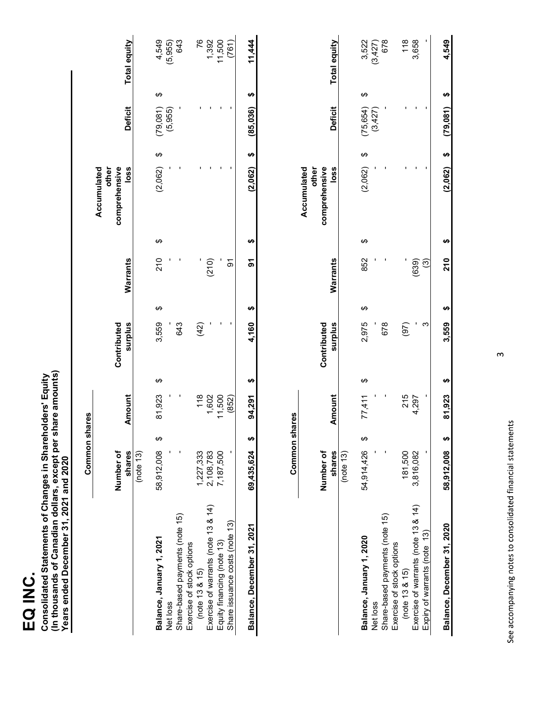EQ INC.<br>Consolidated Statements of Changes in Shareholders' Equity<br>(In thousands of Canadian dollars, except per share amounts)<br><u>Years ended December 31, 2021 and 2020</u> **Consolidated Statements of Changes in Shareholders' Equity (In thousands of Canadian dollars, except per share amounts) Years ended December 31, 2021 and 2020**

|                                     | Common shares       |        |                        |                        |   |                |   |                              |                |                        |                  |
|-------------------------------------|---------------------|--------|------------------------|------------------------|---|----------------|---|------------------------------|----------------|------------------------|------------------|
|                                     |                     |        |                        |                        |   |                |   | Accumulated<br>other         |                |                        |                  |
|                                     | Number of<br>shares | Amount |                        | surplus<br>Contributed |   | Warrants       |   | comprehensive<br><b>loss</b> | <b>Deficit</b> |                        | Total equity     |
|                                     | (note 13)           |        |                        |                        |   |                |   |                              |                |                        |                  |
| Balance, January 1, 2021            | ↔<br>58,912,008     | 81,923 | ↔                      | 3,559                  | ↔ | 210            | ↮ | $(2,062)$ \$                 | (79, 081)      | $\boldsymbol{\varphi}$ | 4,549            |
| Net loss                            |                     |        |                        |                        |   |                |   |                              | (5,955)        |                        | $(5,955)$<br>643 |
| Share-based payments (note 15)      |                     |        |                        | 643                    |   |                |   |                              |                |                        |                  |
| Exercise of stock options           |                     |        |                        |                        |   |                |   |                              |                |                        |                  |
| (note 13 & 15)                      | 1,227,333           | 118    |                        | $(42)$                 |   |                |   |                              |                |                        | 76               |
| Exercise of warrants (note 13 & 14) | 2,108,783           | 1,602  |                        |                        |   | (210)          |   |                              |                |                        | 1,392            |
| Equity financing (note 13)          | 7,187,500           | 11,500 |                        |                        |   |                |   |                              |                |                        | 11,500           |
| Share issuance costs (note 13)      |                     | (852)  |                        |                        |   | $\overline{5}$ |   |                              |                |                        | (761)            |
| Balance, December 31, 2021          | H<br>69,435,624     | 94,291 | $\boldsymbol{\varphi}$ | 4,160 \$               |   | <sub>ნ</sub>   | ക | $(2,062)$ \$                 | $(85,036)$ \$  |                        | 11,444           |
|                                     |                     |        |                        |                        |   |                |   |                              |                |                        |                  |
|                                     |                     |        |                        |                        |   |                |   |                              |                |                        |                  |

|                                     | Common shares |        |   |             |   |                 |   |                            |                |                        |                     |
|-------------------------------------|---------------|--------|---|-------------|---|-----------------|---|----------------------------|----------------|------------------------|---------------------|
|                                     |               |        |   |             |   |                 |   | Accumulated<br>other       |                |                        |                     |
|                                     | Number of     |        |   | Contributed |   |                 |   | comprehensive              |                |                        |                     |
|                                     | shares        | Amount |   | surplus     |   | <b>Warrants</b> |   | loss                       | <b>Deficit</b> |                        | <b>Total equity</b> |
|                                     | (note 13)     |        |   |             |   |                 |   |                            |                |                        |                     |
| Balance, January 1, 2020            | 54,914,426    | 77,411 | H | 2,975       | ↔ | 852             | ഗ | $(2,062)$ \$               | (75, 654)      | $\boldsymbol{\varphi}$ | 3,522               |
| Net loss                            |               |        |   |             |   |                 |   |                            | (3, 427)       |                        | $(3,427)$<br>$678$  |
| Share-based payments (note 15)      |               |        |   | 678         |   |                 |   |                            |                |                        |                     |
| Exercise of stock options           |               |        |   |             |   |                 |   |                            |                |                        |                     |
| (note 13 & 15)                      | 181,500       | 215    |   | (97)        |   |                 |   |                            |                |                        | 118                 |
| Exercise of warrants (note 13 & 14) | 3,816,082     | 4,297  |   |             |   | (639)           |   |                            |                |                        | 3,658               |
| Expiry of warrants (note 13)        |               |        |   | ო           |   | ତ୍ର             |   |                            |                |                        |                     |
| Balance, December 31, 2020          | 58,912,008 \$ | 81,923 |   | 3,559\$     |   | 210<br>210      |   | $(2,062)$ \$ $(79,081)$ \$ |                |                        | 4,549               |

See accompanying notes to consolidated financial statements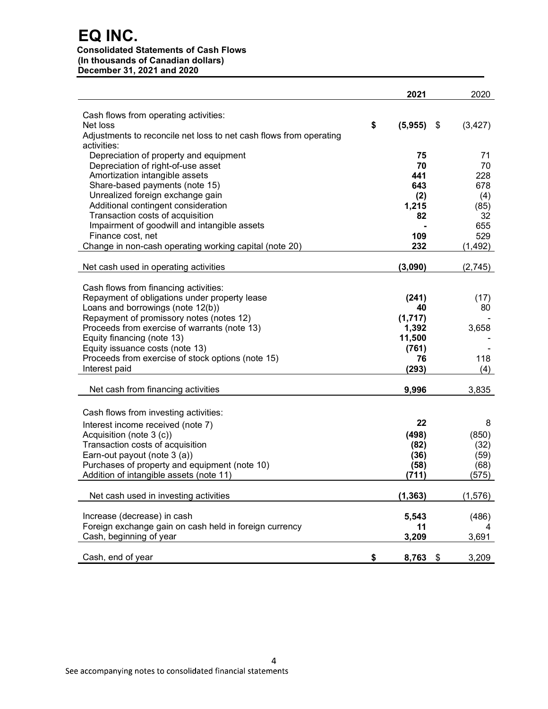#### **EQ INC. Consolidated Statements of Cash Flows (In thousands of Canadian dollars) December 31, 2021 and 2020**

|                                                                    | 2021               |      | 2020     |
|--------------------------------------------------------------------|--------------------|------|----------|
|                                                                    |                    |      |          |
| Cash flows from operating activities:<br>Net loss                  |                    |      |          |
| Adjustments to reconcile net loss to net cash flows from operating | \$<br>$(5,955)$ \$ |      | (3, 427) |
| activities:                                                        |                    |      |          |
| Depreciation of property and equipment                             | 75                 |      | 71       |
| Depreciation of right-of-use asset                                 | 70                 |      | 70       |
| Amortization intangible assets                                     | 441                |      | 228      |
| Share-based payments (note 15)                                     | 643                |      | 678      |
| Unrealized foreign exchange gain                                   | (2)                |      | (4)      |
| Additional contingent consideration                                | 1,215              |      | (85)     |
| Transaction costs of acquisition                                   | 82                 |      | 32       |
| Impairment of goodwill and intangible assets                       |                    |      | 655      |
| Finance cost, net                                                  | 109                |      | 529      |
| Change in non-cash operating working capital (note 20)             | 232                |      | (1, 492) |
| Net cash used in operating activities                              | (3,090)            |      | (2,745)  |
|                                                                    |                    |      |          |
| Cash flows from financing activities:                              |                    |      |          |
| Repayment of obligations under property lease                      | (241)              |      | (17)     |
| Loans and borrowings (note 12(b))                                  | 40                 |      | 80       |
| Repayment of promissory notes (notes 12)                           | (1,717)            |      |          |
| Proceeds from exercise of warrants (note 13)                       | 1,392              |      | 3,658    |
| Equity financing (note 13)                                         | 11,500             |      |          |
| Equity issuance costs (note 13)                                    | (761)              |      |          |
| Proceeds from exercise of stock options (note 15)                  | 76                 |      | 118      |
| Interest paid                                                      | (293)              |      | (4)      |
|                                                                    |                    |      |          |
| Net cash from financing activities                                 | 9,996              |      | 3,835    |
|                                                                    |                    |      |          |
| Cash flows from investing activities:                              |                    |      |          |
| Interest income received (note 7)                                  | 22                 |      | 8        |
| Acquisition (note 3 (c))                                           | (498)              |      | (850)    |
| Transaction costs of acquisition                                   | (82)               |      | (32)     |
| Earn-out payout (note 3 (a))                                       | (36)               |      | (59)     |
| Purchases of property and equipment (note 10)                      | (58)               |      | (68)     |
| Addition of intangible assets (note 11)                            | (711)              |      | (575)    |
| Net cash used in investing activities                              | (1, 363)           |      | (1, 576) |
|                                                                    |                    |      |          |
| Increase (decrease) in cash                                        | 5,543              |      | (486)    |
| Foreign exchange gain on cash held in foreign currency             | 11                 |      | 4        |
| Cash, beginning of year                                            | 3,209              |      | 3,691    |
|                                                                    |                    |      |          |
| Cash, end of year                                                  | \$<br>8,763        | - \$ | 3,209    |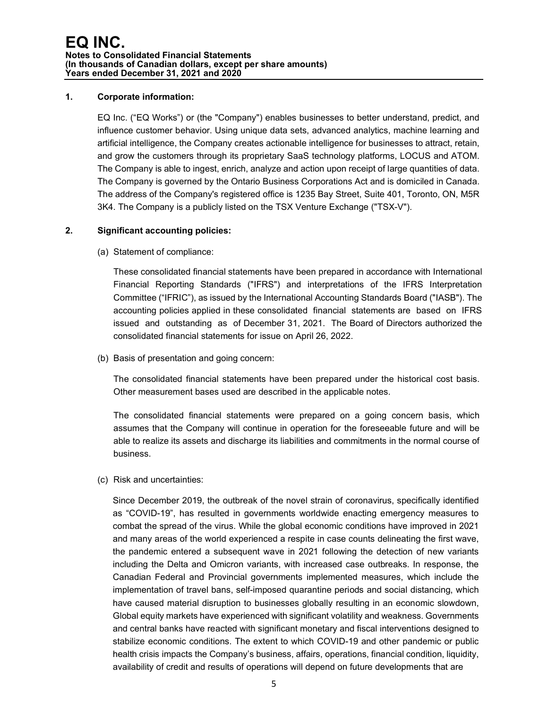#### 1. Corporate information:

EQ Inc. ("EQ Works") or (the "Company") enables businesses to better understand, predict, and influence customer behavior. Using unique data sets, advanced analytics, machine learning and artificial intelligence, the Company creates actionable intelligence for businesses to attract, retain, and grow the customers through its proprietary SaaS technology platforms, LOCUS and ATOM. The Company is able to ingest, enrich, analyze and action upon receipt of large quantities of data. The Company is governed by the Ontario Business Corporations Act and is domiciled in Canada. The address of the Company's registered office is 1235 Bay Street, Suite 401, Toronto, ON, M5R 3K4. The Company is a publicly listed on the TSX Venture Exchange ("TSX-V").

#### 2. Significant accounting policies:

(a) Statement of compliance:

These consolidated financial statements have been prepared in accordance with International Financial Reporting Standards ("IFRS") and interpretations of the IFRS Interpretation Committee ("IFRIC"), as issued by the International Accounting Standards Board ("IASB"). The accounting policies applied in these consolidated financial statements are based on IFRS issued and outstanding as of December 31, 2021. The Board of Directors authorized the consolidated financial statements for issue on April 26, 2022.

(b) Basis of presentation and going concern:

The consolidated financial statements have been prepared under the historical cost basis. Other measurement bases used are described in the applicable notes.

The consolidated financial statements were prepared on a going concern basis, which assumes that the Company will continue in operation for the foreseeable future and will be able to realize its assets and discharge its liabilities and commitments in the normal course of business.

(c) Riskanduncertainties:

Since December 2019, the outbreak of the novel strain of coronavirus, specifically identified as "COVID-19", has resulted in governments worldwide enacting emergency measures to combat the spread of the virus. While the global economic conditions have improved in 2021 and many areas of the world experienced a respite in case counts delineating the first wave, the pandemic entered a subsequent wave in 2021 following the detection of new variants including the Delta and Omicron variants, with increased case outbreaks. In response, the Canadian Federal and Provincial governments implemented measures, which include the implementation of travel bans, self-imposed quarantine periods and social distancing, which have caused material disruption to businesses globally resulting in an economic slowdown, Global equity markets have experienced with significant volatility and weakness. Governments and central banks have reacted with significant monetary and fiscal interventions designed to stabilize economic conditions. The extent to which COVID-19 and other pandemic or public health crisis impacts the Company's business, affairs, operations, financial condition, liquidity, availability of credit and results of operations will depend on future developments that are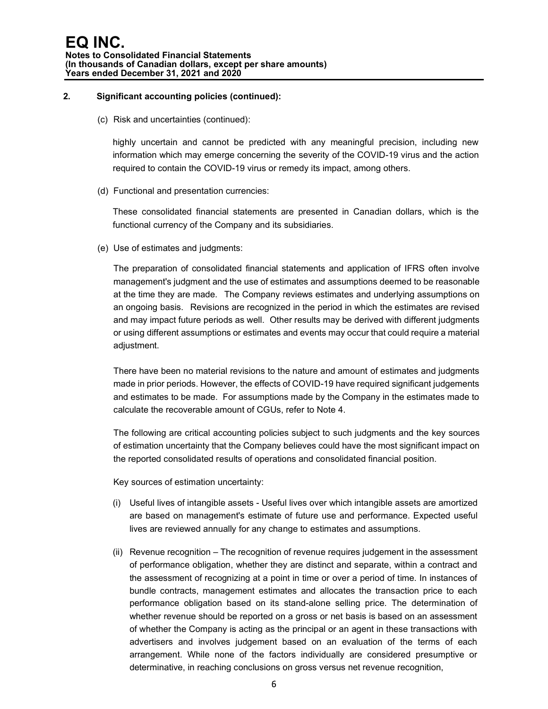(c) Risk and uncertainties (continued):

highly uncertain and cannot be predicted with any meaningful precision, including new information which may emerge concerning the severity of the COVID-19 virus and the action required to contain the COVID-19 virus or remedy its impact, among others.

(d) Functional and presentation currencies:

These consolidated financial statements are presented in Canadian dollars, which is the functional currency of the Company and its subsidiaries.

(e) Use of estimates and judgments:

The preparation of consolidated financial statements and application of IFRS often involve management's judgment and the use of estimates and assumptions deemed to be reasonable at the time they are made. The Company reviews estimates and underlying assumptions on an ongoing basis. Revisions are recognized in the period in which the estimates are revised and may impact future periods as well. Other results may be derived with different judgments or using different assumptions or estimates and events may occur that could require a material adjustment.

There have been no material revisions to the nature and amount of estimates and judgments made in prior periods. However, the effects of COVID-19 have required significant judgements and estimates to be made. For assumptions made by the Company in the estimates made to calculate the recoverable amount of CGUs, refer to Note 4.

The following are critical accounting policies subject to such judgments and the key sources of estimation uncertainty that the Company believes could have the most significant impact on the reported consolidated results of operations and consolidated financial position.

Key sources of estimation uncertainty:

- (i) Useful lives of intangible assets Useful lives over which intangible assets are amortized are based on management's estimate of future use and performance. Expected useful lives are reviewed annually for any change to estimates and assumptions.
- (ii) Revenue recognition The recognition of revenue requires judgement in the assessment of performance obligation, whether they are distinct and separate, within a contract and the assessment of recognizing at a point in time or over a period of time. In instances of bundle contracts, management estimates and allocates the transaction price to each performance obligation based on its stand-alone selling price. The determination of whether revenue should be reported on a gross or net basis is based on an assessment of whether the Company is acting as the principal or an agent in these transactions with advertisers and involves judgement based on an evaluation of the terms of each arrangement. While none of the factors individually are considered presumptive or determinative, in reaching conclusions on gross versus net revenue recognition,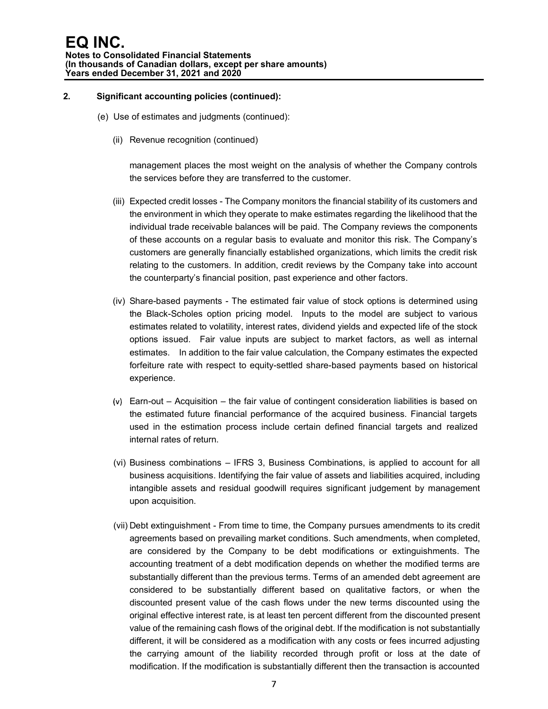- (e) Use of estimates and judgments (continued):
	- (ii) Revenue recognition (continued)

management places the most weight on the analysis of whether the Company controls the services before they are transferred to the customer.

- (iii) Expected credit losses The Company monitors the financial stability of its customers and the environment in which they operate to make estimates regarding the likelihood that the individual trade receivable balances will be paid. The Company reviews the components of these accounts on a regular basis to evaluate and monitor this risk. The Company's customers are generally financially established organizations, which limits the credit risk relating to the customers. In addition, credit reviews by the Company take into account the counterparty's financial position, past experience and other factors.
- (iv) Share-based payments The estimated fair value of stock options is determined using the Black-Scholes option pricing model. Inputs to the model are subject to various estimates related to volatility, interest rates, dividend yields and expected life of the stock options issued. Fair value inputs are subject to market factors, as well as internal estimates. In addition to the fair value calculation, the Company estimates the expected forfeiture rate with respect to equity-settled share-based payments based on historical experience.
- Earn-out Acquisition the fair value of contingent consideration liabilities is based on the estimated future financial performance of the acquired business. Financial targets used in the estimation process include certain defined financial targets and realized internal rates of return.
- (vi) Business combinations IFRS 3, Business Combinations, is applied to account for all business acquisitions. Identifying the fair value of assets and liabilities acquired, including intangible assets and residual goodwill requires significant judgement by management upon acquisition.
- (vii) Debt extinguishment From time to time, the Company pursues amendments to its credit agreements based on prevailing market conditions. Such amendments, when completed, are considered by the Company to be debt modifications or extinguishments. The accounting treatment of a debt modification depends on whether the modified terms are substantially different than the previous terms. Terms of an amended debt agreement are considered to be substantially different based on qualitative factors, or when the discounted present value of the cash flows under the new terms discounted using the original effective interest rate, is at least ten percent different from the discounted present value of the remaining cash flows of the original debt. If the modification is not substantially different, it will be considered as a modification with any costs or fees incurred adjusting the carrying amount of the liability recorded through profit or loss at the date of modification. If the modification is substantially different then the transaction is accounted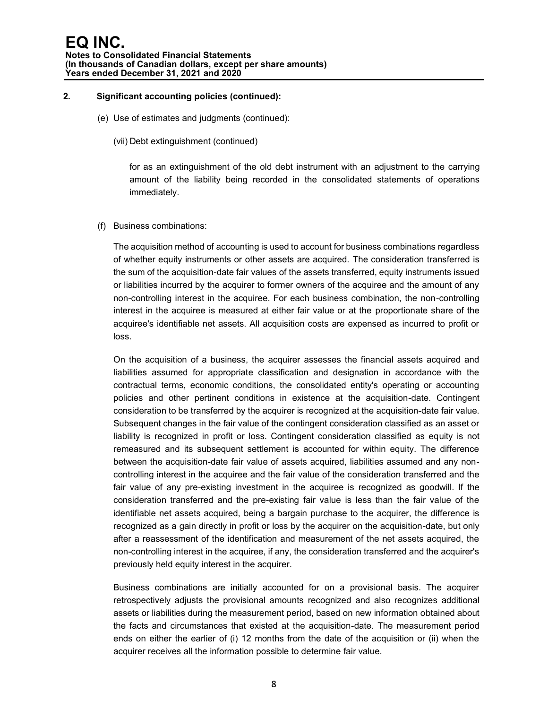- (e) Use of estimates and judgments (continued):
	- (vii) Debt extinguishment (continued)

for as an extinguishment of the old debt instrument with an adjustment to the carrying amount of the liability being recorded in the consolidated statements of operations immediately.

(f) Business combinations:

The acquisition method of accounting is used to account for business combinations regardless of whether equity instruments or other assets are acquired. The consideration transferred is the sum of the acquisition-date fair values of the assets transferred, equity instruments issued or liabilities incurred by the acquirer to former owners of the acquiree and the amount of any non-controlling interest in the acquiree. For each business combination, the non-controlling interest in the acquiree is measured at either fair value or at the proportionate share of the acquiree's identifiable net assets. All acquisition costs are expensed as incurred to profit or loss.

On the acquisition of a business, the acquirer assesses the financial assets acquired and liabilities assumed for appropriate classification and designation in accordance with the contractual terms, economic conditions, the consolidated entity's operating or accounting policies and other pertinent conditions in existence at the acquisition-date. Contingent consideration to be transferred by the acquirer is recognized at the acquisition-date fair value. Subsequent changes in the fair value of the contingent consideration classified as an asset or liability is recognized in profit or loss. Contingent consideration classified as equity is not remeasured and its subsequent settlement is accounted for within equity. The difference between the acquisition-date fair value of assets acquired, liabilities assumed and any noncontrolling interest in the acquiree and the fair value of the consideration transferred and the fair value of any pre-existing investment in the acquiree is recognized as goodwill. If the consideration transferred and the pre-existing fair value is less than the fair value of the identifiable net assets acquired, being a bargain purchase to the acquirer, the difference is recognized as a gain directly in profit or loss by the acquirer on the acquisition-date, but only after a reassessment of the identification and measurement of the net assets acquired, the non-controlling interest in the acquiree, if any, the consideration transferred and the acquirer's previously held equity interest in the acquirer.

Business combinations are initially accounted for on a provisional basis. The acquirer retrospectively adjusts the provisional amounts recognized and also recognizes additional assets or liabilities during the measurement period, based on new information obtained about the facts and circumstances that existed at the acquisition-date. The measurement period ends on either the earlier of (i) 12 months from the date of the acquisition or (ii) when the acquirer receives all the information possible to determine fair value.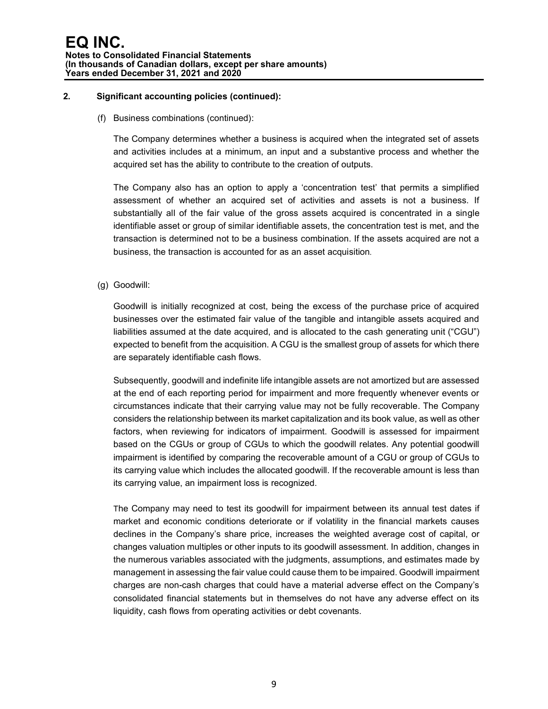(f) Business combinations (continued):

The Company determines whether a business is acquired when the integrated set of assets and activities includes at a minimum, an input and a substantive process and whether the acquired set has the ability to contribute to the creation of outputs.

The Company also has an option to apply a 'concentration test' that permits a simplified assessment of whether an acquired set of activities and assets is not a business. If substantially all of the fair value of the gross assets acquired is concentrated in a single identifiable asset or group of similar identifiable assets, the concentration test is met, and the transaction is determined not to be a business combination. If the assets acquired are not a business, the transaction is accounted for as an asset acquisition.

(g) Goodwill:

Goodwill is initially recognized at cost, being the excess of the purchase price of acquired businesses over the estimated fair value of the tangible and intangible assets acquired and liabilities assumed at the date acquired, and is allocated to the cash generating unit ("CGU") expected to benefit from the acquisition. A CGU is the smallest group of assets for which there are separately identifiable cash flows.

Subsequently, goodwill and indefinite life intangible assets are not amortized but are assessed at the end of each reporting period for impairment and more frequently whenever events or circumstances indicate that their carrying value may not be fully recoverable. The Company considers the relationship between its market capitalization and its book value, as well as other factors, when reviewing for indicators of impairment. Goodwill is assessed for impairment based on the CGUs or group of CGUs to which the goodwill relates. Any potential goodwill impairment is identified by comparing the recoverable amount of a CGU or group of CGUs to its carrying value which includes the allocated goodwill. If the recoverable amount is less than its carrying value, an impairment loss is recognized.

The Company may need to test its goodwill for impairment between its annual test dates if market and economic conditions deteriorate or if volatility in the financial markets causes declines in the Company's share price, increases the weighted average cost of capital, or changes valuation multiples or other inputs to its goodwill assessment. In addition, changes in the numerous variables associated with the judgments, assumptions, and estimates made by management in assessing the fair value could cause them to be impaired. Goodwill impairment charges are non-cash charges that could have a material adverse effect on the Company's consolidated financial statements but in themselves do not have any adverse effect on its liquidity, cash flows from operating activities or debt covenants.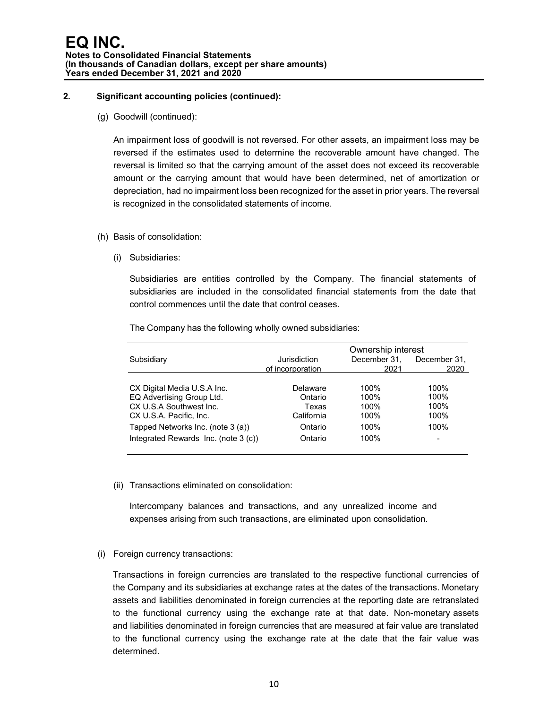(g) Goodwill (continued):

An impairment loss of goodwill is not reversed. For other assets, an impairment loss may be reversed if the estimates used to determine the recoverable amount have changed. The reversal is limited so that the carrying amount of the asset does not exceed its recoverable amount or the carrying amount that would have been determined, net of amortization or depreciation, had no impairment loss been recognized for the asset in prior years. The reversal is recognized in the consolidated statements of income.

- (h) Basis of consolidation:
	- (i) Subsidiaries:

Subsidiaries are entities controlled by the Company. The financial statements of subsidiaries are included in the consolidated financial statements from the date that control commences until the date that control ceases.

|                                      |                  | Ownership interest |                          |
|--------------------------------------|------------------|--------------------|--------------------------|
| Subsidiary                           | Jurisdiction     | December 31,       | December 31,             |
|                                      | of incorporation | 2021               | 2020                     |
|                                      |                  |                    |                          |
| CX Digital Media U.S.A Inc.          | Delaware         | 100%               | 100%                     |
| EQ Advertising Group Ltd.            | Ontario          | 100%               | 100%                     |
| CX U.S.A Southwest Inc.              | Texas            | 100%               | 100%                     |
| CX U.S.A. Pacific, Inc.              | California       | 100%               | 100%                     |
| Tapped Networks Inc. (note 3 (a))    | Ontario          | 100%               | 100%                     |
| Integrated Rewards Inc. (note 3 (c)) | Ontario          | 100%               | $\overline{\phantom{0}}$ |

The Company has the following wholly owned subsidiaries:

(ii) Transactions eliminated on consolidation:

Intercompany balances and transactions, and any unrealized income and expenses arising from such transactions, are eliminated upon consolidation.

#### (i) Foreign currency transactions:

Transactions in foreign currencies are translated to the respective functional currencies of the Company and its subsidiaries at exchange rates at the dates of the transactions. Monetary assets and liabilities denominated in foreign currencies at the reporting date are retranslated to the functional currency using the exchange rate at that date. Non-monetary assets and liabilities denominated in foreign currencies that are measured at fair value are translated to the functional currency using the exchange rate at the date that the fair value was determined.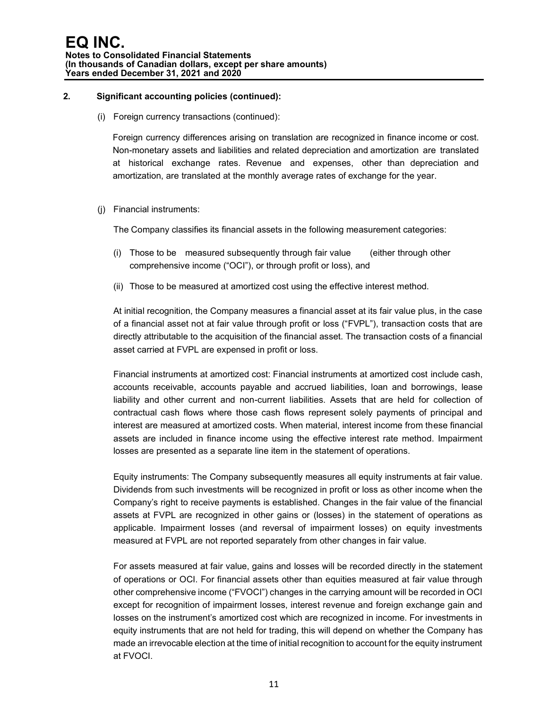(i) Foreign currency transactions (continued):

Foreign currency differences arising on translation are recognized in finance income or cost. Non-monetary assets and liabilities and related depreciation and amortization are translated at historical exchange rates. Revenue and expenses, other than depreciation and amortization, are translated at the monthly average rates of exchange for the year.

(j) Financial instruments:

The Company classifies its financial assets in the following measurement categories:

- (i) Those to be measured subsequently through fair value (either through other comprehensive income ("OCI"), or through profit or loss), and
- (ii) Those to be measured at amortized cost using the effective interest method.

At initial recognition, the Company measures a financial asset at its fair value plus, in the case of a financial asset not at fair value through profit or loss ("FVPL"), transaction costs that are directly attributable to the acquisition of the financial asset. The transaction costs of a financial asset carried at FVPL are expensed in profit or loss.

Financial instruments at amortized cost: Financial instruments at amortized cost include cash, accounts receivable, accounts payable and accrued liabilities, loan and borrowings, lease liability and other current and non-current liabilities. Assets that are held for collection of contractual cash flows where those cash flows represent solely payments of principal and interest are measured at amortized costs. When material, interest income from these financial assets are included in finance income using the effective interest rate method. Impairment losses are presented as a separate line item in the statement of operations.

Equity instruments: The Company subsequently measures all equity instruments at fair value. Dividends from such investments will be recognized in profit or loss as other income when the Company's right to receive payments is established. Changes in the fair value of the financial assets at FVPL are recognized in other gains or (losses) in the statement of operations as applicable. Impairment losses (and reversal of impairment losses) on equity investments measured at FVPL are not reported separately from other changes in fair value.

For assets measured at fair value, gains and losses will be recorded directly in the statement of operations or OCI. For financial assets other than equities measured at fair value through other comprehensive income ("FVOCI") changes in the carrying amount will be recorded in OCI except for recognition of impairment losses, interest revenue and foreign exchange gain and losses on the instrument's amortized cost which are recognized in income. For investments in equity instruments that are not held for trading, this will depend on whether the Company has made an irrevocable election at the time of initial recognition to account for the equity instrument at FVOCI.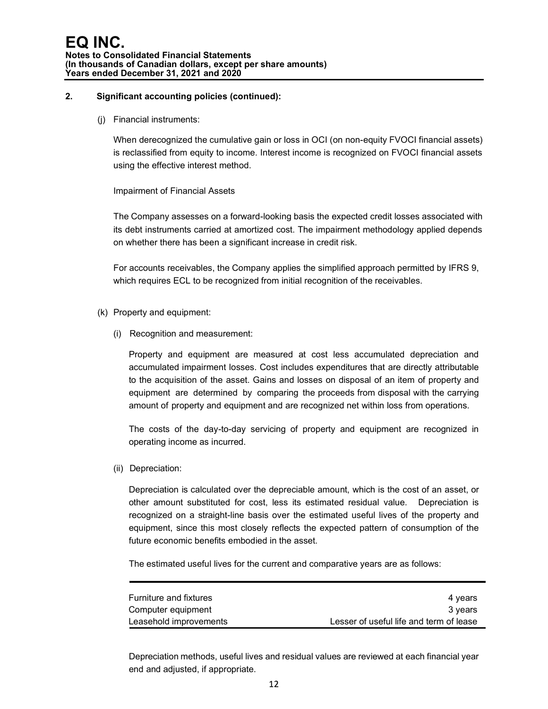(j) Financial instruments:

When derecognized the cumulative gain or loss in OCI (on non-equity FVOCI financial assets) is reclassified from equity to income. Interest income is recognized on FVOCI financial assets using the effective interest method.

#### Impairment of Financial Assets

The Company assesses on a forward-looking basis the expected credit losses associated with its debt instruments carried at amortized cost. The impairment methodology applied depends on whether there has been a significant increase in credit risk.

For accounts receivables, the Company applies the simplified approach permitted by IFRS 9, which requires ECL to be recognized from initial recognition of the receivables.

- (k) Property and equipment:
	- (i) Recognition and measurement:

Property and equipment are measured at cost less accumulated depreciation and accumulated impairment losses. Cost includes expenditures that are directly attributable to the acquisition of the asset. Gains and losses on disposal of an item of property and equipment are determined by comparing the proceeds from disposal with the carrying amount of property and equipment and are recognized net within loss from operations.

The costs of the day-to-day servicing of property and equipment are recognized in operating income as incurred.

(ii) Depreciation:

Depreciation is calculated over the depreciable amount, which is the cost of an asset, or other amount substituted for cost, less its estimated residual value. Depreciation is recognized on a straight-line basis over the estimated useful lives of the property and equipment, since this most closely reflects the expected pattern of consumption of the future economic benefits embodied in the asset.

The estimated useful lives for the current and comparative years are as follows:

| <b>Furniture and fixtures</b> | 4 years                                 |
|-------------------------------|-----------------------------------------|
| Computer equipment            | 3 vears                                 |
| Leasehold improvements        | Lesser of useful life and term of lease |

Depreciation methods, useful lives and residual values are reviewed at each financial year end and adjusted, if appropriate.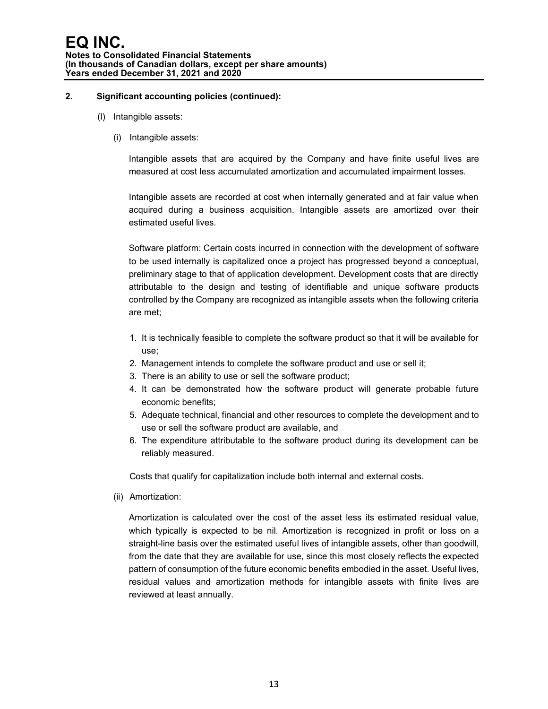- (l) Intangible assets:
	- (i) Intangible assets:

Intangible assets that are acquired by the Company and have finite useful lives are measured at cost less accumulated amortization and accumulated impairment losses.

Intangible assets are recorded at cost when internally generated and at fair value when acquired during a business acquisition. Intangible assets are amortized over their estimated useful lives.

Software platform: Certain costs incurred in connection with the development of software to be used internally is capitalized once a project has progressed beyond a conceptual, preliminary stage to that of application development. Development costs that are directly attributable to the design and testing of identifiable and unique software products controlled by the Company are recognized as intangible assets when the following criteria are met;

- 1. It is technically feasible to complete the software product so that it will be available for use;
- 2. Management intends to complete the software product and use or sell it;
- 3. There is an ability to use or sell the software product;
- 4. It can be demonstrated how the software product will generate probable future economic benefits;
- 5. Adequate technical, financial and other resources to complete the development and to use or sell the software product are available, and
- 6. The expenditure attributable to the software product during its development can be reliably measured.

Costs that qualify for capitalization include both internal and external costs.

(ii) Amortization:

Amortization is calculated over the cost of the asset less its estimated residual value, which typically is expected to be nil. Amortization is recognized in profit or loss on a straight-line basis over the estimated useful lives of intangible assets, other than goodwill, from the date that they are available for use, since this most closely reflects the expected pattern of consumption of the future economic benefits embodied in the asset. Useful lives, residual values and amortization methods for intangible assets with finite lives are reviewed at least annually.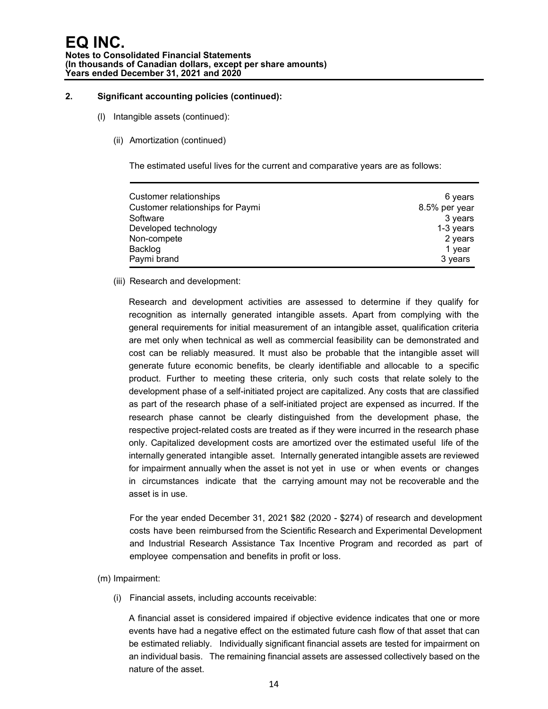- (l) Intangible assets (continued):
	- (ii) Amortization (continued)

The estimated useful lives for the current and comparative years are as follows:

| Customer relationships           | 6 years       |
|----------------------------------|---------------|
| Customer relationships for Paymi | 8.5% per year |
| Software                         | 3 years       |
| Developed technology             | 1-3 years     |
| Non-compete                      | 2 years       |
| Backlog                          | 1 year        |
| Paymi brand                      | 3 years       |

(iii) Research and development:

Research and development activities are assessed to determine if they qualify for recognition as internally generated intangible assets. Apart from complying with the general requirements for initial measurement of an intangible asset, qualification criteria are met only when technical as well as commercial feasibility can be demonstrated and cost can be reliably measured. It must also be probable that the intangible asset will generate future economic benefits, be clearly identifiable and allocable to a specific product. Further to meeting these criteria, only such costs that relate solely to the development phase of a self-initiated project are capitalized. Any costs that are classified as part of the research phase of a self-initiated project are expensed as incurred. If the research phase cannot be clearly distinguished from the development phase, the respective project-related costs are treated as if they were incurred in the research phase only. Capitalized development costs are amortized over the estimated useful life of the internally generated intangible asset. Internally generated intangible assets are reviewed for impairment annually when the asset is not yet in use or when events or changes in circumstances indicate that the carrying amount may not be recoverable and the asset is in use.

For the year ended December 31, 2021 \$82 (2020 - \$274) of research and development costs have been reimbursed from the Scientific Research and Experimental Development and Industrial Research Assistance Tax Incentive Program and recorded as part of employee compensation and benefits in profit or loss.

- (m) Impairment:
	- (i) Financial assets, including accounts receivable:

A financial asset is considered impaired if objective evidence indicates that one or more events have had a negative effect on the estimated future cash flow of that asset that can be estimated reliably. Individually significant financial assets are tested for impairment on an individual basis. The remaining financial assets are assessed collectively based on the nature of the asset.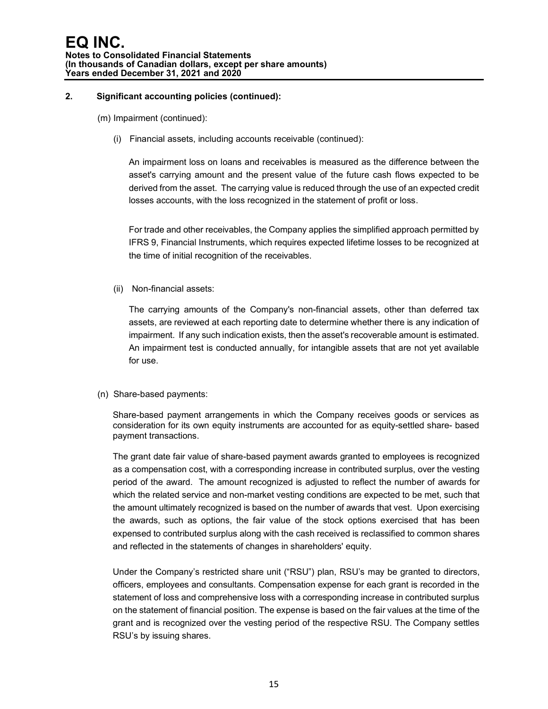- (m) Impairment (continued):
	- (i) Financial assets, including accounts receivable (continued):

An impairment loss on loans and receivables is measured as the difference between the asset's carrying amount and the present value of the future cash flows expected to be derived from the asset. The carrying value is reduced through the use of an expected credit losses accounts, with the loss recognized in the statement of profit or loss.

For trade and other receivables, the Company applies the simplified approach permitted by IFRS 9, Financial Instruments, which requires expected lifetime losses to be recognized at the time of initial recognition of the receivables.

(ii) Non-financial assets:

The carrying amounts of the Company's non-financial assets, other than deferred tax assets, are reviewed at each reporting date to determine whether there is any indication of impairment. If any such indication exists, then the asset's recoverable amount is estimated. An impairment test is conducted annually, for intangible assets that are not yet available for use.

#### (n) Share-based payments:

Share-based payment arrangements in which the Company receives goods or services as consideration for its own equity instruments are accounted for as equity-settled share- based payment transactions.

The grant date fair value of share-based payment awards granted to employees is recognized as a compensation cost, with a corresponding increase in contributed surplus, over the vesting period of the award. The amount recognized is adjusted to reflect the number of awards for which the related service and non-market vesting conditions are expected to be met, such that the amount ultimately recognized is based on the number of awards that vest. Upon exercising the awards, such as options, the fair value of the stock options exercised that has been expensed to contributed surplus along with the cash received is reclassified to common shares and reflected in the statements of changes in shareholders' equity.

Under the Company's restricted share unit ("RSU") plan, RSU's may be granted to directors, officers, employees and consultants. Compensation expense for each grant is recorded in the statement of loss and comprehensive loss with a corresponding increase in contributed surplus on the statement of financial position. The expense is based on the fair values at the time of the grant and is recognized over the vesting period of the respective RSU. The Company settles RSU's by issuing shares.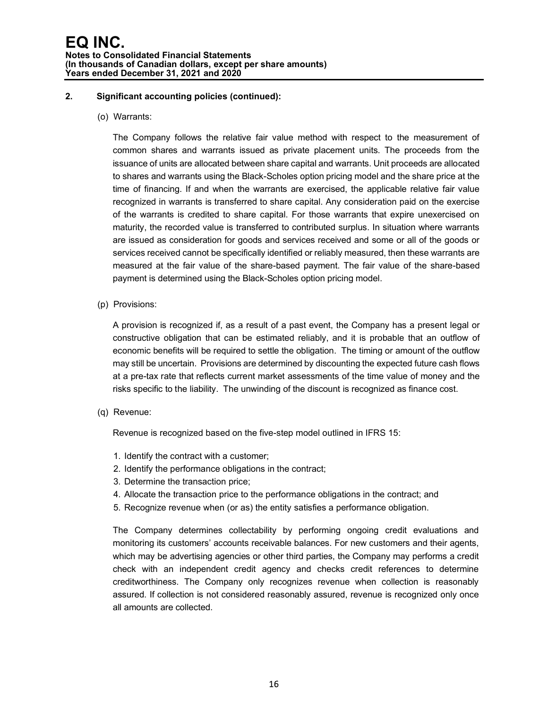(o) Warrants:

The Company follows the relative fair value method with respect to the measurement of common shares and warrants issued as private placement units. The proceeds from the issuance of units are allocated between share capital and warrants. Unit proceeds are allocated to shares and warrants using the Black-Scholes option pricing model and the share price at the time of financing. If and when the warrants are exercised, the applicable relative fair value recognized in warrants is transferred to share capital. Any consideration paid on the exercise of the warrants is credited to share capital. For those warrants that expire unexercised on maturity, the recorded value is transferred to contributed surplus. In situation where warrants are issued as consideration for goods and services received and some or all of the goods or services received cannot be specifically identified or reliably measured, then these warrants are measured at the fair value of the share-based payment. The fair value of the share-based payment is determined using the Black-Scholes option pricing model.

(p) Provisions:

A provision is recognized if, as a result of a past event, the Company has a present legal or constructive obligation that can be estimated reliably, and it is probable that an outflow of economic benefits will be required to settle the obligation. The timing or amount of the outflow may still be uncertain. Provisions are determined by discounting the expected future cash flows at a pre-tax rate that reflects current market assessments of the time value of money and the risks specific to the liability. The unwinding of the discount is recognized as finance cost.

(q) Revenue:

Revenue is recognized based on the five-step model outlined in IFRS 15:

- 1. Identify the contract with a customer;
- 2. Identify the performance obligations in the contract;
- 3. Determine the transaction price;
- 4. Allocate the transaction price to the performance obligations in the contract; and
- 5. Recognize revenue when (or as) the entity satisfies a performance obligation.

The Company determines collectability by performing ongoing credit evaluations and monitoring its customers' accounts receivable balances. For new customers and their agents, which may be advertising agencies or other third parties, the Company may performs a credit check with an independent credit agency and checks credit references to determine creditworthiness. The Company only recognizes revenue when collection is reasonably assured. If collection is not considered reasonably assured, revenue is recognized only once all amounts are collected.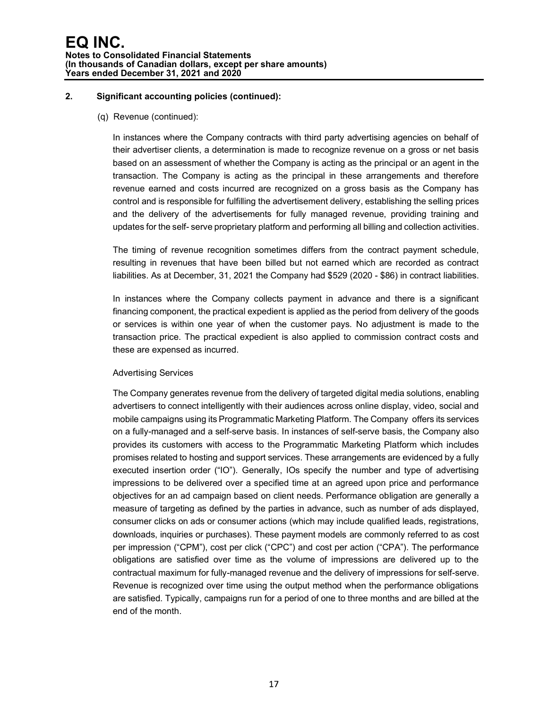(q) Revenue (continued):

In instances where the Company contracts with third party advertising agencies on behalf of their advertiser clients, a determination is made to recognize revenue on a gross or net basis based on an assessment of whether the Company is acting as the principal or an agent in the transaction. The Company is acting as the principal in these arrangements and therefore revenue earned and costs incurred are recognized on a gross basis as the Company has control and is responsible for fulfilling the advertisement delivery, establishing the selling prices and the delivery of the advertisements for fully managed revenue, providing training and updates for the self- serve proprietary platform and performing all billing and collection activities.

The timing of revenue recognition sometimes differs from the contract payment schedule, resulting in revenues that have been billed but not earned which are recorded as contract liabilities. As at December, 31, 2021 the Company had \$529 (2020 - \$86) in contract liabilities.

In instances where the Company collects payment in advance and there is a significant financing component, the practical expedient is applied as the period from delivery of the goods or services is within one year of when the customer pays. No adjustment is made to the transaction price. The practical expedient is also applied to commission contract costs and these are expensed as incurred.

#### Advertising Services

The Company generates revenue from the delivery of targeted digital media solutions, enabling advertisers to connect intelligently with their audiences across online display, video, social and mobile campaigns using its Programmatic Marketing Platform. The Company offers its services on a fully-managed and a self-serve basis. In instances of self-serve basis, the Company also provides its customers with access to the Programmatic Marketing Platform which includes promises related to hosting and support services. These arrangements are evidenced by a fully executed insertion order ("IO"). Generally, IOs specify the number and type of advertising impressions to be delivered over a specified time at an agreed upon price and performance objectives for an ad campaign based on client needs. Performance obligation are generally a measure of targeting as defined by the parties in advance, such as number of ads displayed, consumer clicks on ads or consumer actions (which may include qualified leads, registrations, downloads, inquiries or purchases). These payment models are commonly referred to as cost per impression ("CPM"), cost per click ("CPC") and cost per action ("CPA"). The performance obligations are satisfied over time as the volume of impressions are delivered up to the contractual maximum for fully-managed revenue and the delivery of impressions for self-serve. Revenue is recognized over time using the output method when the performance obligations are satisfied. Typically, campaigns run for a period of one to three months and are billed at the end of the month.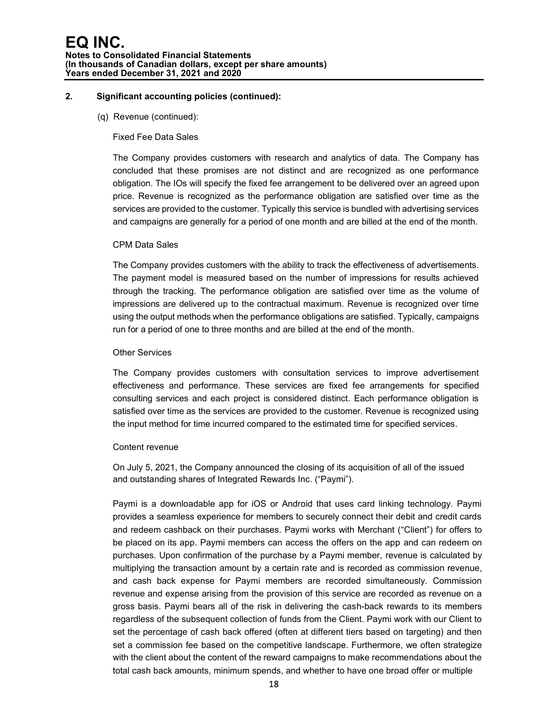(q) Revenue (continued):

#### Fixed Fee Data Sales

The Company provides customers with research and analytics of data. The Company has concluded that these promises are not distinct and are recognized as one performance obligation. The IOs will specify the fixed fee arrangement to be delivered over an agreed upon price. Revenue is recognized as the performance obligation are satisfied over time as the services are provided to the customer. Typically this service is bundled with advertising services and campaigns are generally for a period of one month and are billed at the end of the month.

#### CPM Data Sales

The Company provides customers with the ability to track the effectiveness of advertisements. The payment model is measured based on the number of impressions for results achieved through the tracking. The performance obligation are satisfied over time as the volume of impressions are delivered up to the contractual maximum. Revenue is recognized over time using the output methods when the performance obligations are satisfied. Typically, campaigns run for a period of one to three months and are billed at the end of the month.

#### Other Services

The Company provides customers with consultation services to improve advertisement effectiveness and performance. These services are fixed fee arrangements for specified consulting services and each project is considered distinct. Each performance obligation is satisfied over time as the services are provided to the customer. Revenue is recognized using the input method for time incurred compared to the estimated time for specified services.

#### Content revenue

On July 5, 2021, the Company announced the closing of its acquisition of all of the issued and outstanding shares of Integrated Rewards Inc. ("Paymi").

Paymi is a downloadable app for iOS or Android that uses card linking technology. Paymi provides a seamless experience for members to securely connect their debit and credit cards and redeem cashback on their purchases. Paymi works with Merchant ("Client") for offers to be placed on its app. Paymi members can access the offers on the app and can redeem on purchases. Upon confirmation of the purchase by a Paymi member, revenue is calculated by multiplying the transaction amount by a certain rate and is recorded as commission revenue, and cash back expense for Paymi members are recorded simultaneously. Commission revenue and expense arising from the provision of this service are recorded as revenue on a gross basis. Paymi bears all of the risk in delivering the cash-back rewards to its members regardless of the subsequent collection of funds from the Client. Paymi work with our Client to set the percentage of cash back offered (often at different tiers based on targeting) and then set a commission fee based on the competitive landscape. Furthermore, we often strategize with the client about the content of the reward campaigns to make recommendations about the total cash back amounts, minimum spends, and whether to have one broad offer or multiple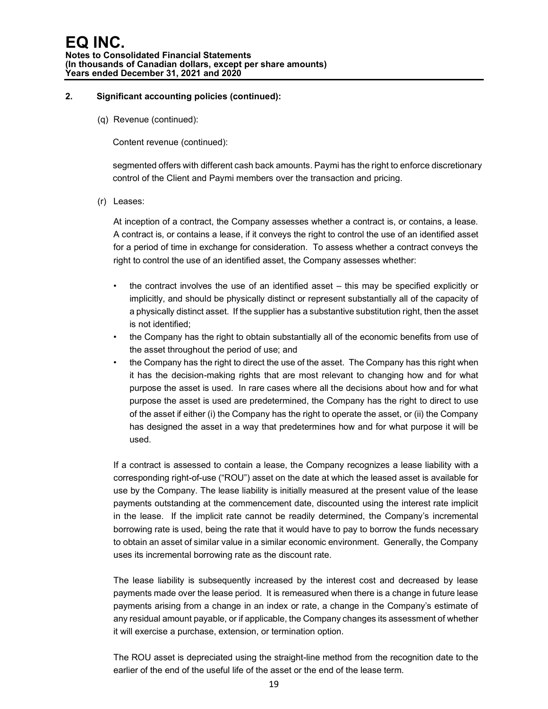(q) Revenue (continued):

Content revenue (continued):

segmented offers with different cash back amounts. Paymi has the right to enforce discretionary control of the Client and Paymi members over the transaction and pricing.

(r) Leases:

At inception of a contract, the Company assesses whether a contract is, or contains, a lease. A contract is, or contains a lease, if it conveys the right to control the use of an identified asset for a period of time in exchange for consideration. To assess whether a contract conveys the right to control the use of an identified asset, the Company assesses whether:

- the contract involves the use of an identified asset this may be specified explicitly or implicitly, and should be physically distinct or represent substantially all of the capacity of a physically distinct asset. If the supplier has a substantive substitution right, then the asset is not identified;
- the Company has the right to obtain substantially all of the economic benefits from use of the asset throughout the period of use; and
- the Company has the right to direct the use of the asset. The Company has this right when it has the decision-making rights that are most relevant to changing how and for what purpose the asset is used. In rare cases where all the decisions about how and for what purpose the asset is used are predetermined, the Company has the right to direct to use of the asset if either (i) the Company has the right to operate the asset, or (ii) the Company has designed the asset in a way that predetermines how and for what purpose it will be used.

If a contract is assessed to contain a lease, the Company recognizes a lease liability with a corresponding right-of-use ("ROU") asset on the date at which the leased asset is available for use by the Company. The lease liability is initially measured at the present value of the lease payments outstanding at the commencement date, discounted using the interest rate implicit in the lease. If the implicit rate cannot be readily determined, the Company's incremental borrowing rate is used, being the rate that it would have to pay to borrow the funds necessary to obtain an asset of similar value in a similar economic environment. Generally, the Company uses its incremental borrowing rate as the discount rate.

The lease liability is subsequently increased by the interest cost and decreased by lease payments made over the lease period. It is remeasured when there is a change in future lease payments arising from a change in an index or rate, a change in the Company's estimate of any residual amount payable, or if applicable, the Company changes its assessment of whether it will exercise a purchase, extension, or termination option.

The ROU asset is depreciated using the straight-line method from the recognition date to the earlier of the end of the useful life of the asset or the end of the lease term.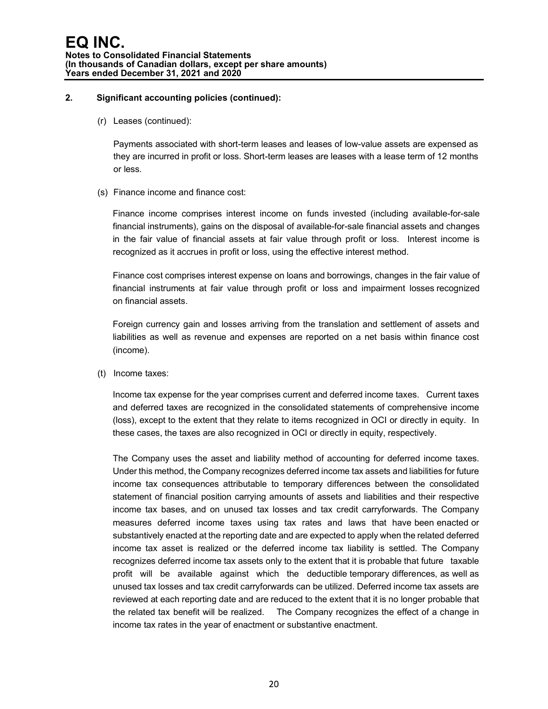(r) Leases (continued):

Payments associated with short-term leases and leases of low-value assets are expensed as they are incurred in profit or loss. Short-term leases are leases with a lease term of 12 months or less.

#### (s) Finance income and finance cost:

Finance income comprises interest income on funds invested (including available-for-sale financial instruments), gains on the disposal of available-for-sale financial assets and changes in the fair value of financial assets at fair value through profit or loss. Interest income is recognized as it accrues in profit or loss, using the effective interest method.

Finance cost comprises interest expense on loans and borrowings, changes in the fair value of financial instruments at fair value through profit or loss and impairment losses recognized on financial assets.

Foreign currency gain and losses arriving from the translation and settlement of assets and liabilities as well as revenue and expenses are reported on a net basis within finance cost (income).

(t) Income taxes:

Income tax expense for the year comprises current and deferred income taxes. Current taxes and deferred taxes are recognized in the consolidated statements of comprehensive income (loss), except to the extent that they relate to items recognized in OCI or directly in equity. In these cases, the taxes are also recognized in OCI or directly in equity, respectively.

The Company uses the asset and liability method of accounting for deferred income taxes. Under this method, the Company recognizes deferred income tax assets and liabilities for future income tax consequences attributable to temporary differences between the consolidated statement of financial position carrying amounts of assets and liabilities and their respective income tax bases, and on unused tax losses and tax credit carryforwards. The Company measures deferred income taxes using tax rates and laws that have been enacted or substantively enacted at the reporting date and are expected to apply when the related deferred income tax asset is realized or the deferred income tax liability is settled. The Company recognizes deferred income tax assets only to the extent that it is probable that future taxable profit will be available against which the deductible temporary differences, as well as unused tax losses and tax credit carryforwards can be utilized. Deferred income tax assets are reviewed at each reporting date and are reduced to the extent that it is no longer probable that the related tax benefit will be realized. The Company recognizes the effect of a change in income tax rates in the year of enactment or substantive enactment.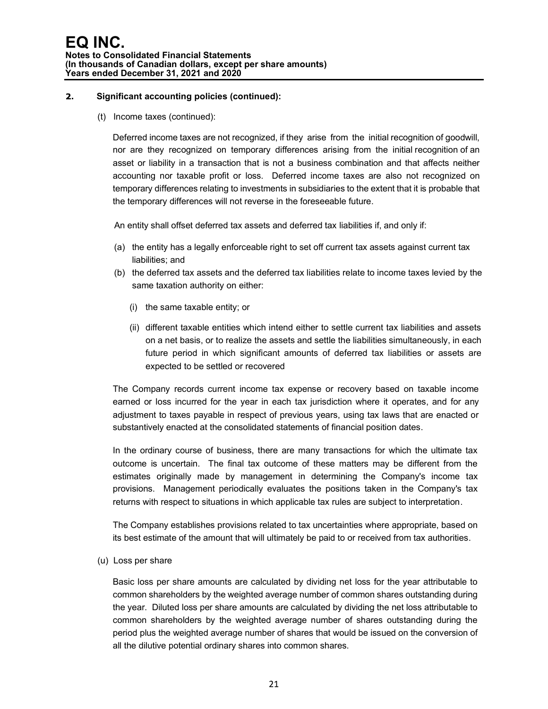(t) Income taxes (continued):

Deferred income taxes are not recognized, if they arise from the initial recognition of goodwill, nor are they recognized on temporary differences arising from the initial recognition of an asset or liability in a transaction that is not a business combination and that affects neither accounting nor taxable profit or loss. Deferred income taxes are also not recognized on temporary differences relating to investments in subsidiaries to the extent that it is probable that the temporary differences will not reverse in the foreseeable future.

An entity shall offset deferred tax assets and deferred tax liabilities if, and only if:

- (a) the entity has a legally enforceable right to set off current tax assets against current tax liabilities; and
- (b) the deferred tax assets and the deferred tax liabilities relate to income taxes levied by the same taxation authority on either:
	- (i) the same taxable entity; or
	- (ii) different taxable entities which intend either to settle current tax liabilities and assets on a net basis, or to realize the assets and settle the liabilities simultaneously, in each future period in which significant amounts of deferred tax liabilities or assets are expected to be settled or recovered

The Company records current income tax expense or recovery based on taxable income earned or loss incurred for the year in each tax jurisdiction where it operates, and for any adjustment to taxes payable in respect of previous years, using tax laws that are enacted or substantively enacted at the consolidated statements of financial position dates.

In the ordinary course of business, there are many transactions for which the ultimate tax outcome is uncertain. The final tax outcome of these matters may be different from the estimates originally made by management in determining the Company's income tax provisions. Management periodically evaluates the positions taken in the Company's tax returns with respect to situations in which applicable tax rules are subject to interpretation.

The Company establishes provisions related to tax uncertainties where appropriate, based on its best estimate of the amount that will ultimately be paid to or received from tax authorities.

(u) Loss per share

Basic loss per share amounts are calculated by dividing net loss for the year attributable to common shareholders by the weighted average number of common shares outstanding during the year. Diluted loss per share amounts are calculated by dividing the net loss attributable to common shareholders by the weighted average number of shares outstanding during the period plus the weighted average number of shares that would be issued on the conversion of all the dilutive potential ordinary shares into common shares.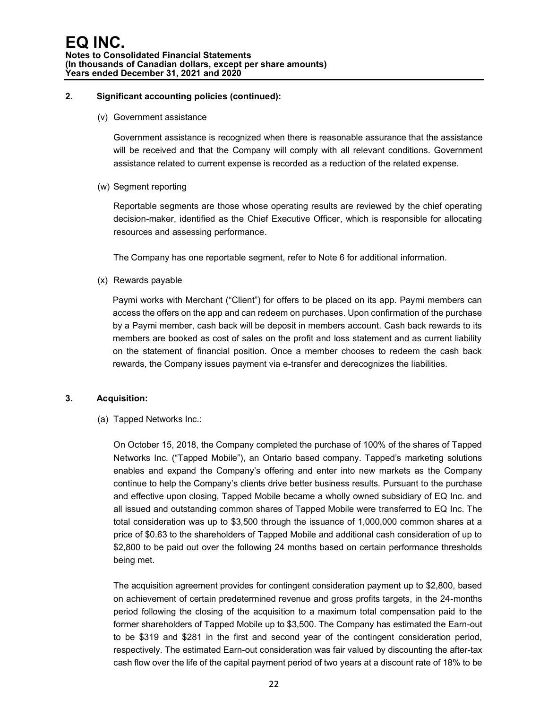(v) Government assistance

Government assistance is recognized when there is reasonable assurance that the assistance will be received and that the Company will comply with all relevant conditions. Government assistance related to current expense is recorded as a reduction of the related expense.

(w) Segment reporting

Reportable segments are those whose operating results are reviewed by the chief operating decision-maker, identified as the Chief Executive Officer, which is responsible for allocating resources and assessing performance.

The Company has one reportable segment, refer to Note 6 for additional information.

(x) Rewards payable

Paymi works with Merchant ("Client") for offers to be placed on its app. Paymi members can access the offers on the app and can redeem on purchases. Upon confirmation of the purchase by a Paymi member, cash back will be deposit in members account. Cash back rewards to its members are booked as cost of sales on the profit and loss statement and as current liability on the statement of financial position. Once a member chooses to redeem the cash back rewards, the Company issues payment via e-transfer and derecognizes the liabilities.

#### **3. Acquisition:**

(a) Tapped Networks Inc.:

On October 15, 2018, the Company completed the purchase of 100% of the shares of Tapped Networks Inc. ("Tapped Mobile"), an Ontario based company. Tapped's marketing solutions enables and expand the Company's offering and enter into new markets as the Company continue to help the Company's clients drive better business results. Pursuant to the purchase and effective upon closing, Tapped Mobile became a wholly owned subsidiary of EQ Inc. and all issued and outstanding common shares of Tapped Mobile were transferred to EQ Inc. The total consideration was up to \$3,500 through the issuance of 1,000,000 common shares at a price of \$0.63 to the shareholders of Tapped Mobile and additional cash consideration of up to \$2,800 to be paid out over the following 24 months based on certain performance thresholds being met.

The acquisition agreement provides for contingent consideration payment up to \$2,800, based on achievement of certain predetermined revenue and gross profits targets, in the 24-months period following the closing of the acquisition to a maximum total compensation paid to the former shareholders of Tapped Mobile up to \$3,500. The Company has estimated the Earn-out to be \$319 and \$281 in the first and second year of the contingent consideration period, respectively. The estimated Earn-out consideration was fair valued by discounting the after-tax cash flow over the life of the capital payment period of two years at a discount rate of 18% to be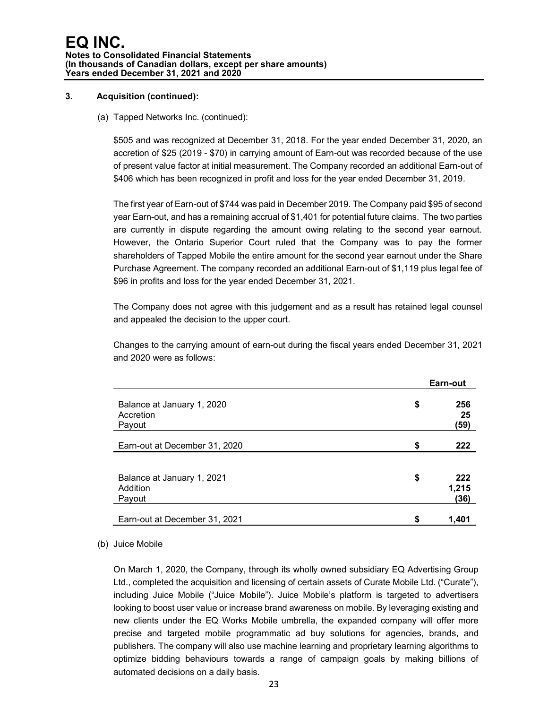(a) Tapped Networks Inc. (continued):

\$505 and was recognized at December 31, 2018. For the year ended December 31, 2020, an accretion of \$25 (2019 - \$70) in carrying amount of Earn-out was recorded because of the use of present value factor at initial measurement. The Company recorded an additional Earn-out of \$406 which has been recognized in profit and loss for the year ended December 31, 2019.

The first year of Earn-out of \$744 was paid in December 2019. The Company paid \$95 of second year Earn-out, and has a remaining accrual of \$1,401 for potential future claims. The two parties are currently in dispute regarding the amount owing relating to the second year earnout. However, the Ontario Superior Court ruled that the Company was to pay the former shareholders of Tapped Mobile the entire amount for the second year earnout under the Share Purchase Agreement. The company recorded an additional Earn-out of \$1,119 plus legal fee of \$96 in profits and loss for the year ended December 31, 2021.

The Company does not agree with this judgement and as a result has retained legal counsel and appealed the decision to the upper court.

Changes to the carrying amount of earn-out during the fiscal years ended December 31, 2021 and 2020 were as follows:

|                                                         | Earn-out             |
|---------------------------------------------------------|----------------------|
| \$<br>Balance at January 1, 2020<br>Accretion<br>Payout | 256<br>25<br>(59)    |
| \$<br>Earn-out at December 31, 2020                     | 222                  |
| \$<br>Balance at January 1, 2021<br>Addition<br>Payout  | 222<br>1,215<br>(36) |
| \$<br>Earn-out at December 31, 2021                     | 1.401                |

#### (b) Juice Mobile

On March 1, 2020, the Company, through its wholly owned subsidiary EQ Advertising Group Ltd., completed the acquisition and licensing of certain assets of Curate Mobile Ltd. ("Curate"), including Juice Mobile ("Juice Mobile"). Juice Mobile's platform is targeted to advertisers looking to boost user value or increase brand awareness on mobile. By leveraging existing and new clients under the EQ Works Mobile umbrella, the expanded company will offer more precise and targeted mobile programmatic ad buy solutions for agencies, brands, and publishers. The company will also use machine learning and proprietary learning algorithms to optimize bidding behaviours towards a range of campaign goals by making billions of automated decisions on a daily basis.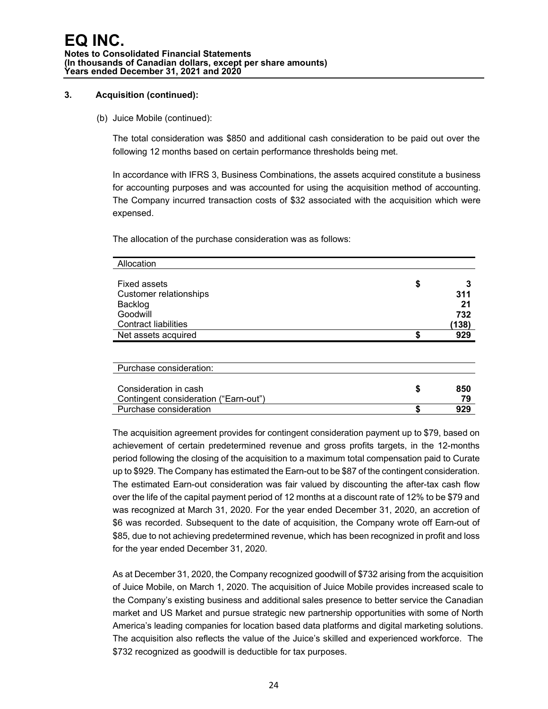(b) Juice Mobile (continued):

The total consideration was \$850 and additional cash consideration to be paid out over the following 12 months based on certain performance thresholds being met.

In accordance with IFRS 3, Business Combinations, the assets acquired constitute a business for accounting purposes and was accounted for using the acquisition method of accounting. The Company incurred transaction costs of \$32 associated with the acquisition which were expensed.

The allocation of the purchase consideration was as follows:

| Allocation                            |    |       |
|---------------------------------------|----|-------|
|                                       |    |       |
| <b>Fixed assets</b>                   | \$ |       |
| <b>Customer relationships</b>         |    | 311   |
| Backlog                               |    | 21    |
| Goodwill                              |    | 732   |
| <b>Contract liabilities</b>           |    | (138) |
| Net assets acquired                   | \$ | 929   |
|                                       |    |       |
|                                       |    |       |
| Purchase consideration:               |    |       |
|                                       |    |       |
| Consideration in cash                 | \$ | 850   |
| Contingent consideration ("Earn-out") |    | 79    |
| Purchase consideration                | S  | 929   |

The acquisition agreement provides for contingent consideration payment up to \$79, based on achievement of certain predetermined revenue and gross profits targets, in the 12-months period following the closing of the acquisition to a maximum total compensation paid to Curate up to \$929. The Company has estimated the Earn-out to be \$87 of the contingent consideration. The estimated Earn-out consideration was fair valued by discounting the after-tax cash flow over the life of the capital payment period of 12 months at a discount rate of 12% to be \$79 and was recognized at March 31, 2020. For the year ended December 31, 2020, an accretion of \$6 was recorded. Subsequent to the date of acquisition, the Company wrote off Earn-out of \$85, due to not achieving predetermined revenue, which has been recognized in profit and loss for the year ended December 31, 2020.

As at December 31, 2020, the Company recognized goodwill of \$732 arising from the acquisition of Juice Mobile, on March 1, 2020. The acquisition of Juice Mobile provides increased scale to the Company's existing business and additional sales presence to better service the Canadian market and US Market and pursue strategic new partnership opportunities with some of North America's leading companies for location based data platforms and digital marketing solutions. The acquisition also reflects the value of the Juice's skilled and experienced workforce. The \$732 recognized as goodwill is deductible for tax purposes.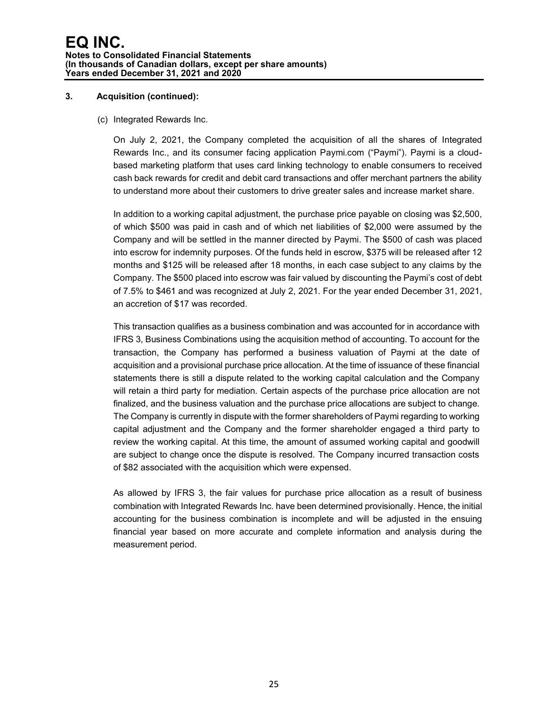(c) Integrated Rewards Inc.

On July 2, 2021, the Company completed the acquisition of all the shares of Integrated Rewards Inc., and its consumer facing application Paymi.com ("Paymi"). Paymi is a cloudbased marketing platform that uses card linking technology to enable consumers to received cash back rewards for credit and debit card transactions and offer merchant partners the ability to understand more about their customers to drive greater sales and increase market share.

In addition to a working capital adjustment, the purchase price payable on closing was \$2,500, of which \$500 was paid in cash and of which net liabilities of \$2,000 were assumed by the Company and will be settled in the manner directed by Paymi. The \$500 of cash was placed into escrow for indemnity purposes. Of the funds held in escrow, \$375 will be released after 12 months and \$125 will be released after 18 months, in each case subject to any claims by the Company. The \$500 placed into escrow was fair valued by discounting the Paymi's cost of debt of 7.5% to \$461 and was recognized at July 2, 2021. For the year ended December 31, 2021, an accretion of \$17 was recorded.

This transaction qualifies as a business combination and was accounted for in accordance with IFRS 3, Business Combinations using the acquisition method of accounting. To account for the transaction, the Company has performed a business valuation of Paymi at the date of acquisition and a provisional purchase price allocation. At the time of issuance of these financial statements there is still a dispute related to the working capital calculation and the Company will retain a third party for mediation. Certain aspects of the purchase price allocation are not finalized, and the business valuation and the purchase price allocations are subject to change. The Company is currently in dispute with the former shareholders of Paymi regarding to working capital adjustment and the Company and the former shareholder engaged a third party to review the working capital. At this time, the amount of assumed working capital and goodwill are subject to change once the dispute is resolved. The Company incurred transaction costs of \$82 associated with the acquisition which were expensed.

As allowed by IFRS 3, the fair values for purchase price allocation as a result of business combination with Integrated Rewards Inc. have been determined provisionally. Hence, the initial accounting for the business combination is incomplete and will be adjusted in the ensuing financial year based on more accurate and complete information and analysis during the measurement period.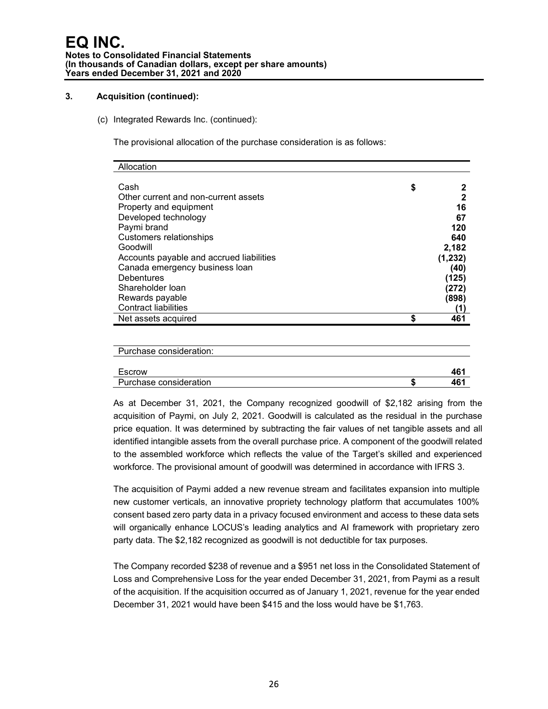(c) Integrated Rewards Inc. (continued):

The provisional allocation of the purchase consideration is as follows:

| Allocation                               |          |
|------------------------------------------|----------|
|                                          |          |
| Cash                                     | \$       |
| Other current and non-current assets     | 2        |
| Property and equipment                   | 16       |
| Developed technology                     | 67       |
| Paymi brand                              | 120      |
| Customers relationships                  | 640      |
| Goodwill                                 | 2,182    |
| Accounts payable and accrued liabilities | (1, 232) |
| Canada emergency business loan           | (40)     |
| <b>Debentures</b>                        | (125)    |
| Shareholder Ioan                         | (272)    |
| Rewards payable                          | (898)    |
| <b>Contract liabilities</b>              | (1)      |
| Net assets acquired                      | 461      |

| Purchase consideration: |     |
|-------------------------|-----|
|                         |     |
| Escrow                  | 461 |
| Purchase consideration  | 461 |

As at December 31, 2021, the Company recognized goodwill of \$2,182 arising from the acquisition of Paymi, on July 2, 2021. Goodwill is calculated as the residual in the purchase price equation. It was determined by subtracting the fair values of net tangible assets and all identified intangible assets from the overall purchase price. A component of the goodwill related to the assembled workforce which reflects the value of the Target's skilled and experienced workforce. The provisional amount of goodwill was determined in accordance with IFRS 3.

The acquisition of Paymi added a new revenue stream and facilitates expansion into multiple new customer verticals, an innovative propriety technology platform that accumulates 100% consent based zero party data in a privacy focused environment and access to these data sets will organically enhance LOCUS's leading analytics and AI framework with proprietary zero party data. The \$2,182 recognized as goodwill is not deductible for tax purposes.

The Company recorded \$238 of revenue and a \$951 net loss in the Consolidated Statement of Loss and Comprehensive Loss for the year ended December 31, 2021, from Paymi as a result of the acquisition. If the acquisition occurred as of January 1, 2021, revenue for the year ended December 31, 2021 would have been \$415 and the loss would have be \$1,763.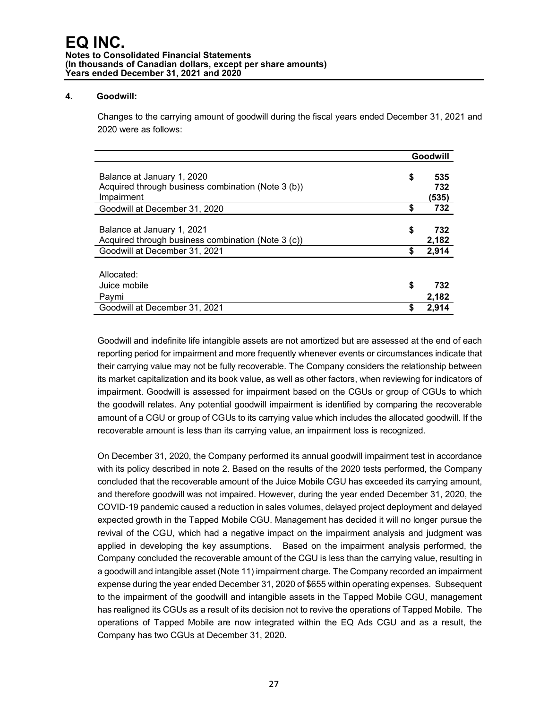#### **4. Goodwill:**

Changes to the carrying amount of goodwill during the fiscal years ended December 31, 2021 and 2020 were as follows:

|          | Goodwill              |
|----------|-----------------------|
| \$       | 535<br>732<br>(535)   |
| \$       | 732                   |
| \$<br>\$ | 732<br>2,182<br>2,914 |
| \$       | 732<br>2,182<br>2.914 |
|          | \$                    |

Goodwill and indefinite life intangible assets are not amortized but are assessed at the end of each reporting period for impairment and more frequently whenever events or circumstances indicate that their carrying value may not be fully recoverable. The Company considers the relationship between its market capitalization and its book value, as well as other factors, when reviewing for indicators of impairment. Goodwill is assessed for impairment based on the CGUs or group of CGUs to which the goodwill relates. Any potential goodwill impairment is identified by comparing the recoverable amount of a CGU or group of CGUs to its carrying value which includes the allocated goodwill. If the recoverable amount is less than its carrying value, an impairment loss is recognized.

On December 31, 2020, the Company performed its annual goodwill impairment test in accordance with its policy described in note 2. Based on the results of the 2020 tests performed, the Company concluded that the recoverable amount of the Juice Mobile CGU has exceeded its carrying amount, and therefore goodwill was not impaired. However, during the year ended December 31, 2020, the COVID-19 pandemic caused a reduction in sales volumes, delayed project deployment and delayed expected growth in the Tapped Mobile CGU. Management has decided it will no longer pursue the revival of the CGU, which had a negative impact on the impairment analysis and judgment was applied in developing the key assumptions. Based on the impairment analysis performed, the Company concluded the recoverable amount of the CGU is less than the carrying value, resulting in a goodwill and intangible asset (Note 11) impairment charge. The Company recorded an impairment expense during the year ended December 31, 2020 of \$655 within operating expenses. Subsequent to the impairment of the goodwill and intangible assets in the Tapped Mobile CGU, management has realigned its CGUs as a result of its decision not to revive the operations of Tapped Mobile. The operations of Tapped Mobile are now integrated within the EQ Ads CGU and as a result, the Company has two CGUs at December 31, 2020.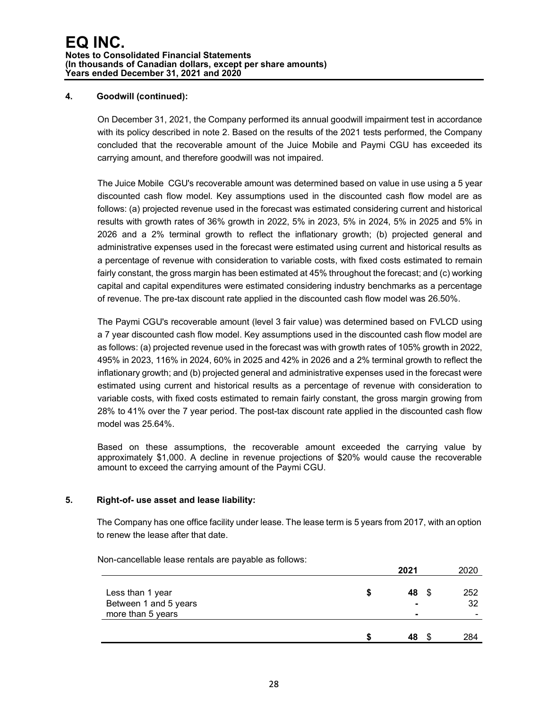#### **4. Goodwill (continued):**

On December 31, 2021, the Company performed its annual goodwill impairment test in accordance with its policy described in note 2. Based on the results of the 2021 tests performed, the Company concluded that the recoverable amount of the Juice Mobile and Paymi CGU has exceeded its carrying amount, and therefore goodwill was not impaired.

The Juice Mobile CGU's recoverable amount was determined based on value in use using a 5 year discounted cash flow model. Key assumptions used in the discounted cash flow model are as follows: (a) projected revenue used in the forecast was estimated considering current and historical results with growth rates of 36% growth in 2022, 5% in 2023, 5% in 2024, 5% in 2025 and 5% in 2026 and a 2% terminal growth to reflect the inflationary growth; (b) projected general and administrative expenses used in the forecast were estimated using current and historical results as a percentage of revenue with consideration to variable costs, with fixed costs estimated to remain fairly constant, the gross margin has been estimated at 45% throughout the forecast; and (c) working capital and capital expenditures were estimated considering industry benchmarks as a percentage of revenue. The pre-tax discount rate applied in the discounted cash flow model was 26.50%.

The Paymi CGU's recoverable amount (level 3 fair value) was determined based on FVLCD using a 7 year discounted cash flow model. Key assumptions used in the discounted cash flow model are as follows: (a) projected revenue used in the forecast was with growth rates of 105% growth in 2022, 495% in 2023, 116% in 2024, 60% in 2025 and 42% in 2026 and a 2% terminal growth to reflect the inflationary growth; and (b) projected general and administrative expenses used in the forecast were estimated using current and historical results as a percentage of revenue with consideration to variable costs, with fixed costs estimated to remain fairly constant, the gross margin growing from 28% to 41% over the 7 year period. The post-tax discount rate applied in the discounted cash flow model was 25.64%.

Based on these assumptions, the recoverable amount exceeded the carrying value by approximately \$1,000. A decline in revenue projections of \$20% would cause the recoverable amount to exceed the carrying amount of the Paymi CGU.

#### **5. Right-of- use asset and lease liability:**

The Company has one office facility under lease. The lease term is 5 years from 2017, with an option to renew the lease after that date.

Non-cancellable lease rentals are payable as follows:

|                                                                |   | 2021                           | 2020           |  |
|----------------------------------------------------------------|---|--------------------------------|----------------|--|
| Less than 1 year<br>Between 1 and 5 years<br>more than 5 years | S | 48<br>$\overline{\phantom{0}}$ | 252<br>32<br>- |  |
|                                                                |   | 48                             | 284            |  |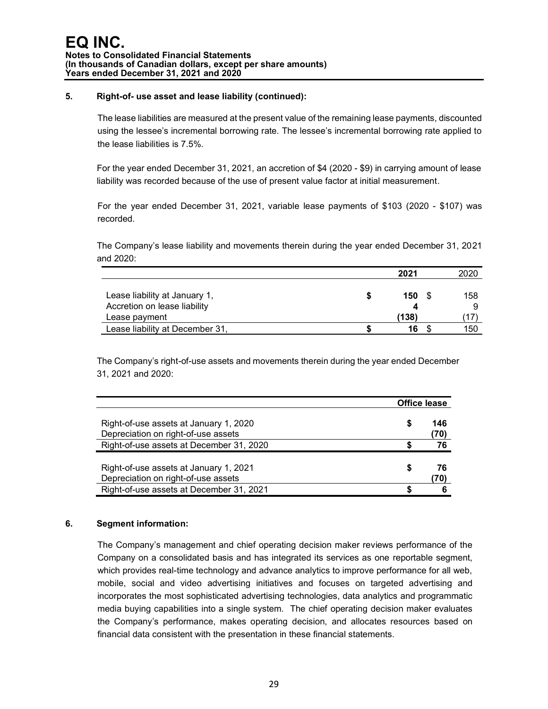#### **5. Right-of- use asset and lease liability (continued):**

The lease liabilities are measured at the present value of the remaining lease payments, discounted using the lessee's incremental borrowing rate. The lessee's incremental borrowing rate applied to the lease liabilities is 7.5%.

For the year ended December 31, 2021, an accretion of \$4 (2020 - \$9) in carrying amount of lease liability was recorded because of the use of present value factor at initial measurement.

For the year ended December 31, 2021, variable lease payments of \$103 (2020 - \$107) was recorded.

The Company's lease liability and movements therein during the year ended December 31, 2021 and 2020:

|                                 | 2021  | 2020 |
|---------------------------------|-------|------|
|                                 |       |      |
| Lease liability at January 1,   | 150   | 158  |
| Accretion on lease liability    |       |      |
| Lease payment                   | (138) |      |
| Lease liability at December 31, | 16    | 150  |

The Company's right-of-use assets and movements therein during the year ended December 31, 2021 and 2020:

|                                          | <b>Office lease</b> |      |
|------------------------------------------|---------------------|------|
|                                          |                     |      |
| Right-of-use assets at January 1, 2020   | S                   | 146  |
| Depreciation on right-of-use assets      |                     | (70) |
| Right-of-use assets at December 31, 2020 |                     | 76   |
|                                          |                     |      |
| Right-of-use assets at January 1, 2021   | S                   | 76   |
| Depreciation on right-of-use assets      |                     | 70)  |
| Right-of-use assets at December 31, 2021 |                     |      |

#### **6. Segment information:**

The Company's management and chief operating decision maker reviews performance of the Company on a consolidated basis and has integrated its services as one reportable segment, which provides real-time technology and advance analytics to improve performance for all web, mobile, social and video advertising initiatives and focuses on targeted advertising and incorporates the most sophisticated advertising technologies, data analytics and programmatic media buying capabilities into a single system. The chief operating decision maker evaluates the Company's performance, makes operating decision, and allocates resources based on financial data consistent with the presentation in these financial statements.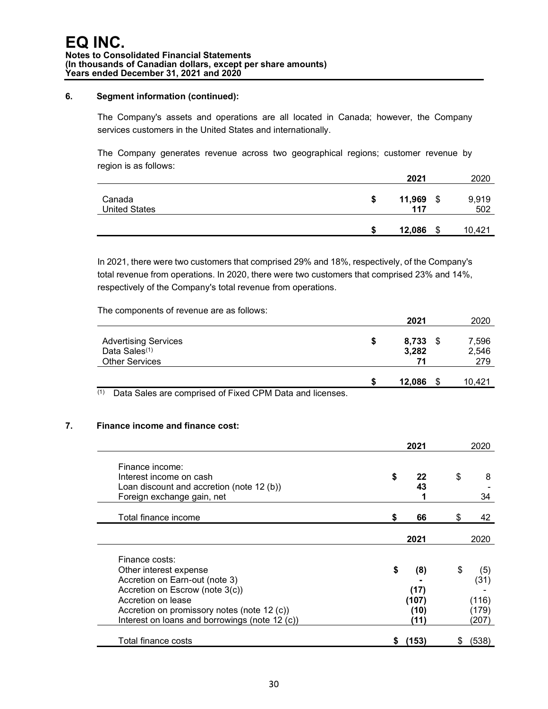#### **6. Segment information (continued):**

The Company's assets and operations are all located in Canada; however, the Company services customers in the United States and internationally.

The Company generates revenue across two geographical regions; customer revenue by region is as follows:

|                                |   | 2021          | 2020               |
|--------------------------------|---|---------------|--------------------|
| Canada<br><b>United States</b> | S | 11,969<br>117 | \$<br>9,919<br>502 |
|                                | S | 12,086        | \$<br>10,421       |

In 2021, there were two customers that comprised 29% and 18%, respectively, of the Company's total revenue from operations. In 2020, there were two customers that comprised 23% and 14%, respectively of the Company's total revenue from operations.

The components of revenue are as follows:

|                                                                                   |   | 2021                    | 2020                  |
|-----------------------------------------------------------------------------------|---|-------------------------|-----------------------|
| <b>Advertising Services</b><br>Data Sales <sup>(1)</sup><br><b>Other Services</b> | S | 8,733 \$<br>3,282<br>71 | 7,596<br>2,546<br>279 |
|                                                                                   |   | 12,086                  | 10,421                |
| (1)<br>Data Sales are comprised of Fixed CPM Data and licenses.                   |   |                         |                       |

#### **7. Finance income and finance cost:**

|                                                                                                                                                                                                                                      | 2021                                       |    | 2020                                   |
|--------------------------------------------------------------------------------------------------------------------------------------------------------------------------------------------------------------------------------------|--------------------------------------------|----|----------------------------------------|
| Finance income:<br>Interest income on cash<br>Loan discount and accretion (note 12 (b))<br>Foreign exchange gain, net                                                                                                                | \$<br>22<br>43                             | \$ | 8<br>34                                |
| Total finance income                                                                                                                                                                                                                 | 66                                         | S  | 42                                     |
|                                                                                                                                                                                                                                      | 2021                                       |    | 2020                                   |
| Finance costs:<br>Other interest expense<br>Accretion on Earn-out (note 3)<br>Accretion on Escrow (note 3(c))<br>Accretion on lease<br>Accretion on promissory notes (note 12 (c))<br>Interest on loans and borrowings (note 12 (c)) | \$<br>(8)<br>(17)<br>(107)<br>(10)<br>(11) | \$ | (5)<br>(31)<br>(116)<br>(179)<br>(207) |
| Total finance costs                                                                                                                                                                                                                  | (153)                                      |    | (538)                                  |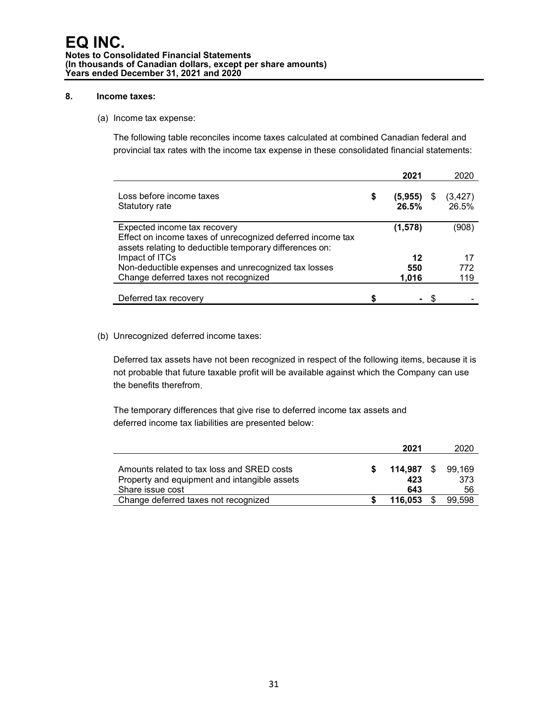#### **8. Income taxes:**

#### (a) Income tax expense:

The following table reconciles income taxes calculated at combined Canadian federal and provincial tax rates with the income tax expense in these consolidated financial statements:

|                                                                           |   | 2021             | 2020                    |
|---------------------------------------------------------------------------|---|------------------|-------------------------|
| Loss before income taxes<br>Statutory rate                                | S | (5,955)<br>26.5% | \$<br>(3, 427)<br>26.5% |
| Expected income tax recovery                                              |   | (1, 578)         | (908)                   |
| Effect on income taxes of unrecognized deferred income tax                |   |                  |                         |
| assets relating to deductible temporary differences on:<br>Impact of ITCs |   | 12               |                         |
| Non-deductible expenses and unrecognized tax losses                       |   | 550              | 772                     |
| Change deferred taxes not recognized                                      |   | 1,016            | 119                     |
| Deferred tax recovery                                                     |   |                  |                         |

#### (b) Unrecognized deferred income taxes:

Deferred tax assets have not been recognized in respect of the following items, because it is not probable that future taxable profit will be available against which the Company can use the benefits therefrom.

The temporary differences that give rise to deferred income tax assets and deferred income tax liabilities are presented below:

|                                              | 2021              | 2020   |
|----------------------------------------------|-------------------|--------|
|                                              |                   |        |
| Amounts related to tax loss and SRED costs   | 114,987 \$ 99,169 |        |
| Property and equipment and intangible assets | 423               | 373    |
| Share issue cost                             | 643               | 56     |
| Change deferred taxes not recognized         | $116,053$ \$      | 99.598 |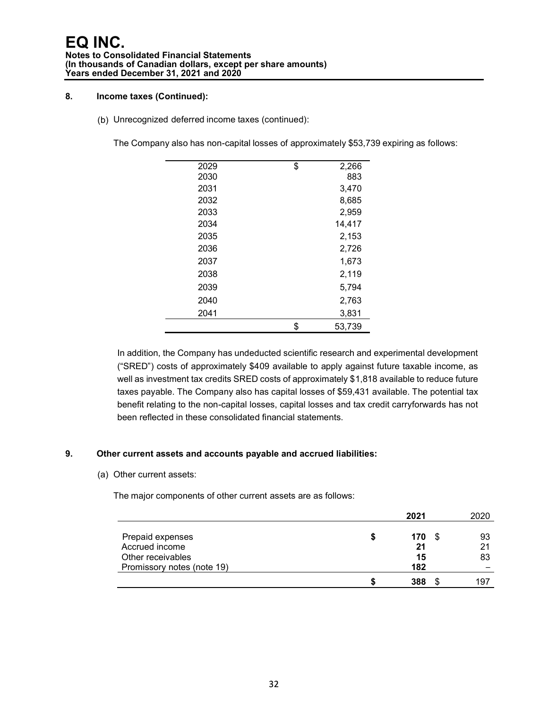#### **8. Income taxes (Continued):**

(b) Unrecognized deferred income taxes (continued):

The Company also has non-capital losses of approximately \$53,739 expiring as follows:

| 2029 | \$<br>2,266  |
|------|--------------|
| 2030 | 883          |
| 2031 | 3,470        |
| 2032 | 8,685        |
| 2033 | 2,959        |
| 2034 | 14,417       |
| 2035 | 2,153        |
| 2036 | 2,726        |
| 2037 | 1,673        |
| 2038 | 2,119        |
| 2039 | 5,794        |
| 2040 | 2,763        |
| 2041 | 3,831        |
|      | \$<br>53,739 |

In addition, the Company has undeducted scientific research and experimental development ("SRED") costs of approximately \$409 available to apply against future taxable income, as well as investment tax credits SRED costs of approximately \$1,818 available to reduce future taxes payable. The Company also has capital losses of \$59,431 available. The potential tax benefit relating to the non-capital losses, capital losses and tax credit carryforwards has not been reflected in these consolidated financial statements.

#### **9. Other current assets and accounts payable and accrued liabilities:**

#### (a) Other current assets:

The major components of other current assets are as follows:

|                                                         | 2021            | 2020           |
|---------------------------------------------------------|-----------------|----------------|
| Prepaid expenses<br>Accrued income<br>Other receivables | 170<br>21<br>15 | 93<br>21<br>83 |
| Promissory notes (note 19)                              | 182             |                |
|                                                         | 388             | 19.            |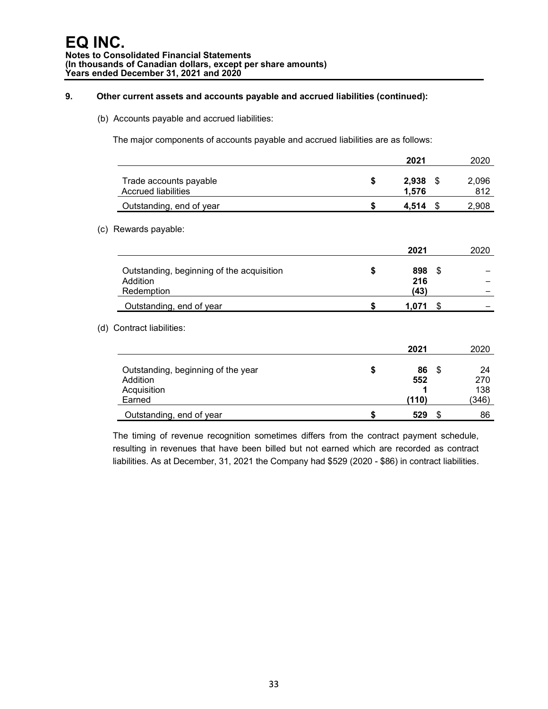#### **9. Other current assets and accounts payable and accrued liabilities (continued):**

(b) Accounts payable and accrued liabilities:

The major components of accounts payable and accrued liabilities are as follows:

|                                                                         | 2021                     |      | 2020                      |
|-------------------------------------------------------------------------|--------------------------|------|---------------------------|
| Trade accounts payable<br><b>Accrued liabilities</b>                    | \$<br>2,938<br>1,576     | - \$ | 2,096<br>812              |
| Outstanding, end of year                                                | \$<br>4,514 $$$          |      | 2,908                     |
| Rewards payable:<br>(c)                                                 |                          |      |                           |
|                                                                         | 2021                     |      | 2020                      |
| Outstanding, beginning of the acquisition<br>Addition<br>Redemption     | \$<br>898<br>216<br>(43) | \$   |                           |
| Outstanding, end of year                                                | \$<br>1,071              | \$   |                           |
| <b>Contract liabilities:</b><br>(d)                                     |                          |      |                           |
|                                                                         | 2021                     |      | 2020                      |
| Outstanding, beginning of the year<br>Addition<br>Acquisition<br>Earned | \$<br>86<br>552<br>(110) | \$   | 24<br>270<br>138<br>(346) |
| Outstanding, end of year                                                | \$<br>529                | \$   | 86                        |

The timing of revenue recognition sometimes differs from the contract payment schedule, resulting in revenues that have been billed but not earned which are recorded as contract liabilities. As at December, 31, 2021 the Company had \$529 (2020 - \$86) in contract liabilities.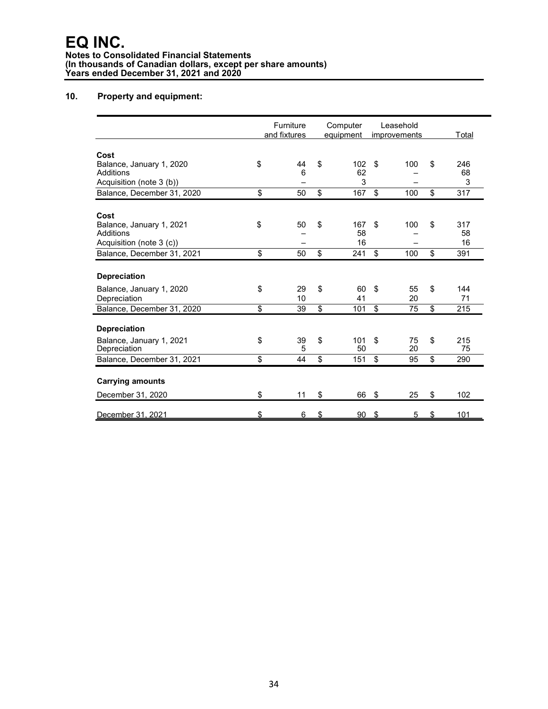#### **10. Property and equipment:**

|                                          | Furniture<br>and fixtures | Computer<br>equipment |      | Leasehold<br>improvements | Total           |
|------------------------------------------|---------------------------|-----------------------|------|---------------------------|-----------------|
| Cost                                     |                           |                       |      |                           |                 |
| Balance, January 1, 2020<br>Additions    | \$<br>44<br>6             | \$<br>102<br>62       | \$   | 100                       | \$<br>246<br>68 |
| Acquisition (note 3 (b))                 |                           | 3                     |      |                           | 3               |
| Balance, December 31, 2020               | \$<br>50                  | \$<br>167             | \$   | 100                       | \$<br>317       |
| Cost                                     |                           |                       |      |                           |                 |
| Balance, January 1, 2021                 | \$<br>50                  | \$<br>167             | \$   | 100                       | \$<br>317       |
| Additions                                |                           | 58                    |      |                           | 58              |
| Acquisition (note 3 (c))                 |                           | 16                    |      |                           | 16              |
| Balance, December 31, 2021               | \$<br>50                  | \$<br>241             | \$   | 100                       | \$<br>391       |
| <b>Depreciation</b>                      |                           |                       |      |                           |                 |
| Balance, January 1, 2020<br>Depreciation | \$<br>29<br>10            | \$<br>60<br>41        | \$   | 55<br>20                  | \$<br>144<br>71 |
| Balance, December 31, 2020               | \$<br>39                  | \$<br>101             | \$   | 75                        | \$<br>215       |
| <b>Depreciation</b>                      |                           |                       |      |                           |                 |
| Balance, January 1, 2021<br>Depreciation | \$<br>39<br>5             | \$<br>101<br>50       | \$   | 75<br>20                  | \$<br>215<br>75 |
| Balance, December 31, 2021               | \$<br>44                  | \$<br>151             | \$   | 95                        | \$<br>290       |
| <b>Carrying amounts</b>                  |                           |                       |      |                           |                 |
| December 31, 2020                        | \$<br>11                  | \$<br>66              | \$   | 25                        | \$<br>102       |
| December 31, 2021                        | \$<br>6                   | \$<br>90              | - \$ | 5                         | \$<br>101       |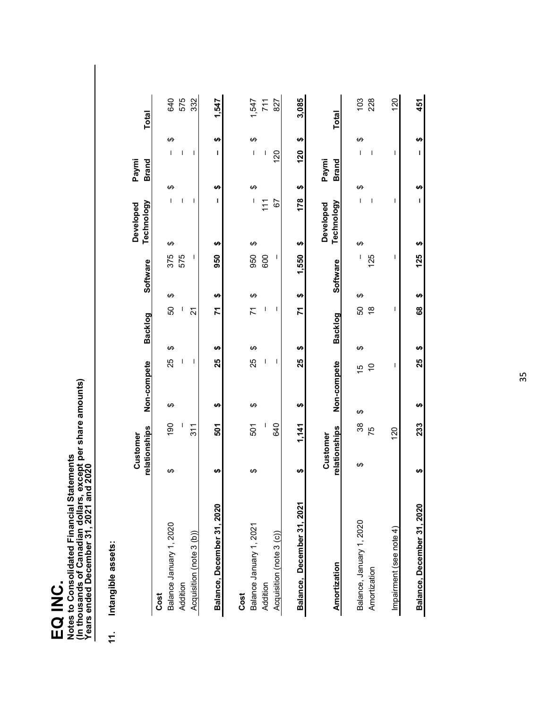**EQ INC.**<br>Notes to Consolidated Financial Statements<br>(In thousands of Canadian dollars, except per share amounts)<br>Years ended December 31, 2021 and 2020 **Notes to Consolidated Financial Statements (In thousands of Canadian dollars, except per share amounts) Years ended December 31, 2021 and 2020**

# Intangible assets: **11. Intangible assets:**  $\ddot{1}$

|                            | relationships<br>Customer |       |   | Non-compete   | Backlog |                |   | Software | Technology<br>Developed |                | Paymi<br>Brand |                                                                                                                                                                                                                                                                                                                                                                                  |   | <b>Total</b> |
|----------------------------|---------------------------|-------|---|---------------|---------|----------------|---|----------|-------------------------|----------------|----------------|----------------------------------------------------------------------------------------------------------------------------------------------------------------------------------------------------------------------------------------------------------------------------------------------------------------------------------------------------------------------------------|---|--------------|
| Cost                       |                           |       |   |               |         |                |   |          |                         |                |                |                                                                                                                                                                                                                                                                                                                                                                                  |   |              |
| Balance January 1, 2020    | ↔                         | 190   | ↮ | 25            | ↔       | 50             | ↔ | 375      | ↮                       | I              | ↔              | $\overline{1}$                                                                                                                                                                                                                                                                                                                                                                   | ↔ | 640          |
| Addition                   |                           |       |   |               |         | I              |   | 575      |                         |                |                | I                                                                                                                                                                                                                                                                                                                                                                                |   | 575          |
| Acquisition (note 3 (b))   |                           | 311   |   | I             |         | 24             |   | I        |                         | I              |                | $\overline{\phantom{a}}$                                                                                                                                                                                                                                                                                                                                                         |   | 332          |
| Balance, December 31, 2020 | ↮                         | 501   | ↮ | 25            | ↮       | 71             | ↮ | 950      | ↮                       | ı              | ക              | ı                                                                                                                                                                                                                                                                                                                                                                                | ↮ | 1,547        |
| Cost                       |                           |       |   |               |         |                |   |          |                         |                |                |                                                                                                                                                                                                                                                                                                                                                                                  |   |              |
| Balance January 1, 2021    | ↔                         | 501   | ↔ | 25            | ↔       | 71             | ↔ | 950      | ↔                       | I              | ↔              | I                                                                                                                                                                                                                                                                                                                                                                                | ↔ | 1,547        |
| Addition                   |                           | I     |   | ı             |         | I              |   | 600      |                         | $\frac{1}{11}$ |                | $\mathbf I$                                                                                                                                                                                                                                                                                                                                                                      |   | 711          |
| Acquisition (note 3 (c))   |                           | 640   |   | I             |         | I              |   | I        |                         | 67             |                | 120                                                                                                                                                                                                                                                                                                                                                                              |   | 827          |
| Balance, December 31, 2021 | ↮                         | 1,141 | ↮ | 25            | ↮       | $\overline{7}$ | ↮ | 1,550    | ↮                       | 178            | ↮              | 120                                                                                                                                                                                                                                                                                                                                                                              | ↮ | 3,085        |
|                            | Customer                  |       |   |               |         |                |   |          | Developed               |                | Paymi          |                                                                                                                                                                                                                                                                                                                                                                                  |   |              |
| Amortization               | relationships             |       |   | Non-compete   | Backlog |                |   | Software | Technology              |                | <b>Brand</b>   |                                                                                                                                                                                                                                                                                                                                                                                  |   | <b>Total</b> |
| Balance, January 1, 2020   | ↔                         | 38    | ↔ | $\frac{5}{1}$ | ↔       | 50             | ↔ | I        | ↔                       | $\overline{1}$ | ↔              | $\overline{1}$                                                                                                                                                                                                                                                                                                                                                                   | ↔ | 103          |
| Amortization               |                           | 75    |   | $\tilde{c}$   |         | $\frac{8}{1}$  |   | 125      |                         | ı              |                | $\begin{array}{c} \rule{0pt}{2.5ex} \rule{0pt}{2.5ex} \rule{0pt}{2.5ex} \rule{0pt}{2.5ex} \rule{0pt}{2.5ex} \rule{0pt}{2.5ex} \rule{0pt}{2.5ex} \rule{0pt}{2.5ex} \rule{0pt}{2.5ex} \rule{0pt}{2.5ex} \rule{0pt}{2.5ex} \rule{0pt}{2.5ex} \rule{0pt}{2.5ex} \rule{0pt}{2.5ex} \rule{0pt}{2.5ex} \rule{0pt}{2.5ex} \rule{0pt}{2.5ex} \rule{0pt}{2.5ex} \rule{0pt}{2.5ex} \rule{0$ |   | 228          |
| Impairment (see note 4)    |                           | 120   |   | I             |         | I              |   | I        |                         | $\mathsf I$    |                | I                                                                                                                                                                                                                                                                                                                                                                                |   | 120          |
| Balance, December 31, 2020 |                           | 233   |   | 25            | ŧΑ      | 68             | ക | 125      |                         | ı              |                | ı                                                                                                                                                                                                                                                                                                                                                                                |   | 451          |

35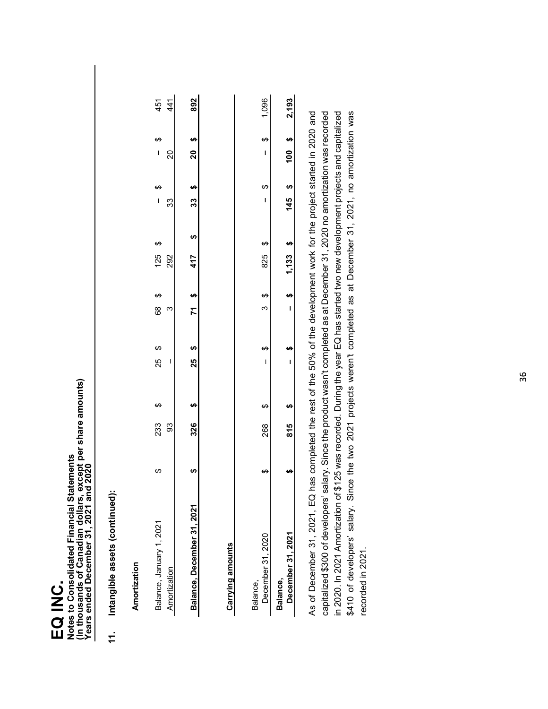**EQ INC.**

(In thousands of Canadian dollars, except per share amounts)<br>Years ended December 31, 2021 and 2020 **(In thousands of Canadian dollars, except per share amounts)** Notes to Consolidated Financial Statements **Notes to Consolidated Financial Statements Years ended December 31, 2021 and 2020**

# Intangible assets (continued): **11. Intangible assets (continued):** 11.

## Amortization **Amortization**

| Balance, January 1, 2021   | မာ | 233 | ↔ | 25 | 89             | ↔<br>125 | $\overline{\phantom{a}}$ | I  | 45<br>4<br>45 |
|----------------------------|----|-----|---|----|----------------|----------|--------------------------|----|---------------|
| Amortization               |    | SS  |   | I  | $\infty$       | 292      | 33                       | 20 |               |
| Balance, December 31, 2021 | A  | 326 |   | 25 | $\frac{3}{71}$ | 417      | 33                       | ຊ  | 892           |

# Carrying amounts **Carrying amounts**

| ecember 31, 2020<br>ialance. | 268 | I | 825 | I   |               | $\frac{5}{2}$<br>Š |
|------------------------------|-----|---|-----|-----|---------------|--------------------|
| ecember 31, 2021             | 815 |   |     | 145 | $\frac{8}{1}$ | $\frac{26}{1}$     |

As of December 31, 2021, EQ has completed the rest of the 50% of the development work for the project started in 2020 and in 2020. In 2021 Amortization of \$125 was recorded. During the year EQ has started two new development projects and capitalized \$410 of developers' salary. Since the two 2021 projects weren't completed as at December 31, 2021, no amortization was \$410 of developers' salary. Since the two 2021 projects weren't completed as at December 31, 2021, no amortization was As of December 31, 2021, EQ has completed the rest of the 50% of the development work for the project started in 2020 and capitalized \$300 of developers' salary. Since the product wasn't completed as at December 31, 2020 no amortization was recorded in 2020. In 2021 Amortization of \$125 was recorded. During the year EQ has started two new development projects and capitalized capitalized \$300 of developers' salary. Since the product wasn't completed as at December 31, 2020 no amortization was recorded recorded in 2021. recorded in 2021.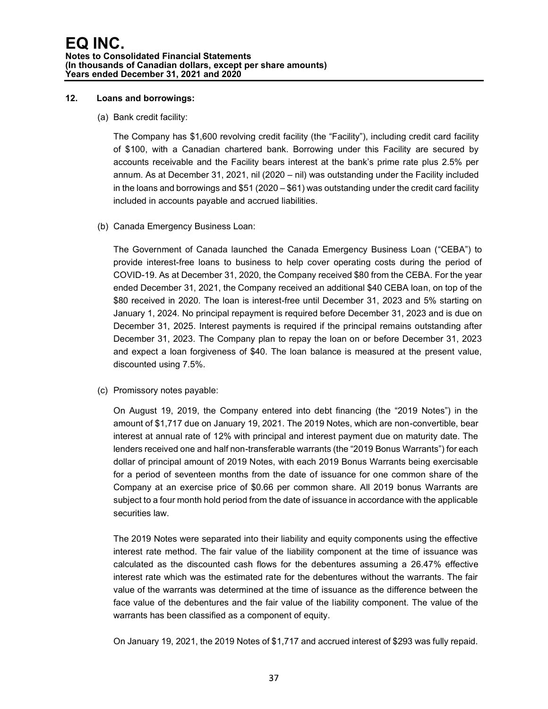#### **12. Loans and borrowings:**

(a) Bank credit facility:

The Company has \$1,600 revolving credit facility (the "Facility"), including credit card facility of \$100, with a Canadian chartered bank. Borrowing under this Facility are secured by accounts receivable and the Facility bears interest at the bank's prime rate plus 2.5% per annum. As at December 31, 2021, nil (2020 – nil) was outstanding under the Facility included in the loans and borrowings and \$51 (2020 – \$61) was outstanding under the credit card facility included in accounts payable and accrued liabilities.

(b) Canada Emergency Business Loan:

The Government of Canada launched the Canada Emergency Business Loan ("CEBA") to provide interest-free loans to business to help cover operating costs during the period of COVID-19. As at December 31, 2020, the Company received \$80 from the CEBA. For the year ended December 31, 2021, the Company received an additional \$40 CEBA loan, on top of the \$80 received in 2020. The loan is interest-free until December 31, 2023 and 5% starting on January 1, 2024. No principal repayment is required before December 31, 2023 and is due on December 31, 2025. Interest payments is required if the principal remains outstanding after December 31, 2023. The Company plan to repay the loan on or before December 31, 2023 and expect a loan forgiveness of \$40. The loan balance is measured at the present value, discounted using 7.5%.

(c) Promissory notes payable:

On August 19, 2019, the Company entered into debt financing (the "2019 Notes") in the amount of \$1,717 due on January 19, 2021. The 2019 Notes, which are non-convertible, bear interest at annual rate of 12% with principal and interest payment due on maturity date. The lenders received one and half non-transferable warrants (the "2019 Bonus Warrants") for each dollar of principal amount of 2019 Notes, with each 2019 Bonus Warrants being exercisable for a period of seventeen months from the date of issuance for one common share of the Company at an exercise price of \$0.66 per common share. All 2019 bonus Warrants are subject to a four month hold period from the date of issuance in accordance with the applicable securities law.

The 2019 Notes were separated into their liability and equity components using the effective interest rate method. The fair value of the liability component at the time of issuance was calculated as the discounted cash flows for the debentures assuming a 26.47% effective interest rate which was the estimated rate for the debentures without the warrants. The fair value of the warrants was determined at the time of issuance as the difference between the face value of the debentures and the fair value of the liability component. The value of the warrants has been classified as a component of equity.

On January 19, 2021, the 2019 Notes of \$1,717 and accrued interest of \$293 was fully repaid.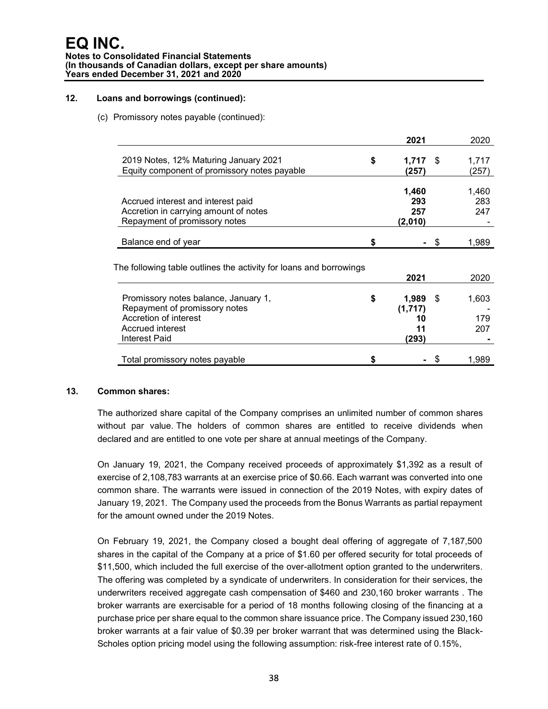#### **12. Loans and borrowings (continued):**

(c) Promissory notes payable (continued):

|                                                                                       | 2021                      |    | 2020           |
|---------------------------------------------------------------------------------------|---------------------------|----|----------------|
| 2019 Notes, 12% Maturing January 2021<br>Equity component of promissory notes payable | \$<br>$1,717$ \$<br>(257) |    | 1,717<br>(257) |
|                                                                                       | 1,460                     |    | 1,460          |
| Accrued interest and interest paid                                                    | 293                       |    | 283            |
| Accretion in carrying amount of notes                                                 | 257                       |    | 247            |
| Repayment of promissory notes                                                         | (2,010)                   |    |                |
| Balance end of year                                                                   | \$                        | S  | 1,989          |
|                                                                                       |                           |    |                |
| The following table outlines the activity for loans and borrowings                    |                           |    |                |
|                                                                                       | 2021                      |    | 2020           |
| Promissory notes balance, January 1,<br>Repayment of promissory notes                 | \$<br>1,989<br>(1,717)    | \$ | 1,603          |
| Accretion of interest                                                                 | 10                        |    | 179            |
| Accrued interest                                                                      | 11                        |    | 207            |
| Interest Paid                                                                         | (293)                     |    |                |
|                                                                                       |                           |    |                |
| Total promissory notes payable                                                        |                           |    | 1,989          |

#### **13. Common shares:**

The authorized share capital of the Company comprises an unlimited number of common shares without par value. The holders of common shares are entitled to receive dividends when declared and are entitled to one vote per share at annual meetings of the Company.

On January 19, 2021, the Company received proceeds of approximately \$1,392 as a result of exercise of 2,108,783 warrants at an exercise price of \$0.66. Each warrant was converted into one common share. The warrants were issued in connection of the 2019 Notes, with expiry dates of January 19, 2021. The Company used the proceeds from the Bonus Warrants as partial repayment for the amount owned under the 2019 Notes.

On February 19, 2021, the Company closed a bought deal offering of aggregate of 7,187,500 shares in the capital of the Company at a price of \$1.60 per offered security for total proceeds of \$11,500, which included the full exercise of the over-allotment option granted to the underwriters. The offering was completed by a syndicate of underwriters. In consideration for their services, the underwriters received aggregate cash compensation of \$460 and 230,160 broker warrants . The broker warrants are exercisable for a period of 18 months following closing of the financing at a purchase price per share equal to the common share issuance price. The Company issued 230,160 broker warrants at a fair value of \$0.39 per broker warrant that was determined using the Black-Scholes option pricing model using the following assumption: risk-free interest rate of 0.15%,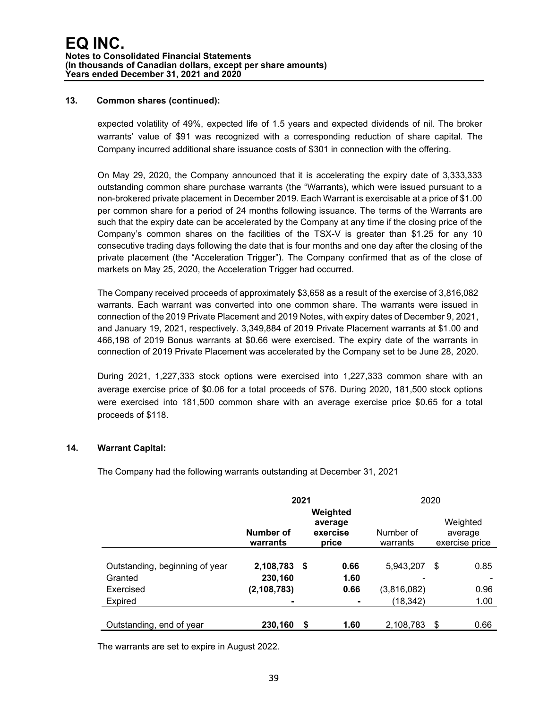#### **13. Common shares (continued):**

expected volatility of 49%, expected life of 1.5 years and expected dividends of nil. The broker warrants' value of \$91 was recognized with a corresponding reduction of share capital. The Company incurred additional share issuance costs of \$301 in connection with the offering.

On May 29, 2020, the Company announced that it is accelerating the expiry date of 3,333,333 outstanding common share purchase warrants (the "Warrants), which were issued pursuant to a non-brokered private placement in December 2019. Each Warrant is exercisable at a price of \$1.00 per common share for a period of 24 months following issuance. The terms of the Warrants are such that the expiry date can be accelerated by the Company at any time if the closing price of the Company's common shares on the facilities of the TSX-V is greater than \$1.25 for any 10 consecutive trading days following the date that is four months and one day after the closing of the private placement (the "Acceleration Trigger"). The Company confirmed that as of the close of markets on May 25, 2020, the Acceleration Trigger had occurred.

The Company received proceeds of approximately \$3,658 as a result of the exercise of 3,816,082 warrants. Each warrant was converted into one common share. The warrants were issued in connection of the 2019 Private Placement and 2019 Notes, with expiry dates of December 9, 2021, and January 19, 2021, respectively. 3,349,884 of 2019 Private Placement warrants at \$1.00 and 466,198 of 2019 Bonus warrants at \$0.66 were exercised. The expiry date of the warrants in connection of 2019 Private Placement was accelerated by the Company set to be June 28, 2020.

During 2021, 1,227,333 stock options were exercised into 1,227,333 common share with an average exercise price of \$0.06 for a total proceeds of \$76. During 2020, 181,500 stock options were exercised into 181,500 common share with an average exercise price \$0.65 for a total proceeds of \$118.

#### **14. Warrant Capital:**

The Company had the following warrants outstanding at December 31, 2021

|                                           |                                 | 2021 |                                          |                          | 2020 |                                       |
|-------------------------------------------|---------------------------------|------|------------------------------------------|--------------------------|------|---------------------------------------|
|                                           | Number of<br>warrants           |      | Weighted<br>average<br>exercise<br>price | Number of<br>warrants    |      | Weighted<br>average<br>exercise price |
| Outstanding, beginning of year<br>Granted | 2,108,783<br>230,160            | S    | 0.66<br>1.60                             | 5,943,207                | S    | 0.85                                  |
| Exercised<br><b>Expired</b>               | (2, 108, 783)<br>$\blacksquare$ |      | 0.66<br>$\blacksquare$                   | (3,816,082)<br>(18, 342) |      | 0.96<br>1.00                          |
| Outstanding, end of year                  | 230,160                         | \$   | 1.60                                     | 2,108,783                | \$   | 0.66                                  |

The warrants are set to expire in August 2022.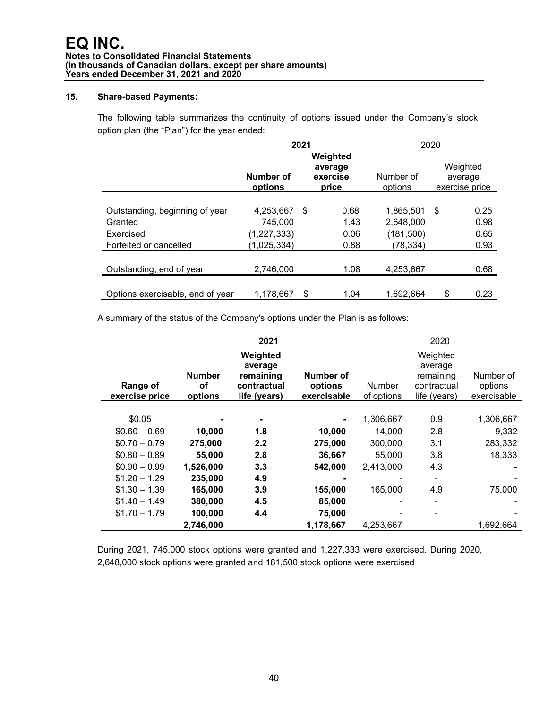#### **15. Share-based Payments:**

The following table summarizes the continuity of options issued under the Company's stock option plan (the "Plan") for the year ended:

|                                           |                              | 2021 |                                          |                         | 2020 |                                       |
|-------------------------------------------|------------------------------|------|------------------------------------------|-------------------------|------|---------------------------------------|
|                                           | Number of<br>options         |      | Weighted<br>average<br>exercise<br>price | Number of<br>options    |      | Weighted<br>average<br>exercise price |
| Outstanding, beginning of year<br>Granted | 4,253,667<br>745,000         | \$   | 0.68<br>1.43                             | 1,865,501<br>2,648,000  | S    | 0.25<br>0.98                          |
| Exercised<br>Forfeited or cancelled       | (1, 227, 333)<br>(1,025,334) |      | 0.06<br>0.88                             | (181, 500)<br>(78, 334) |      | 0.65<br>0.93                          |
|                                           |                              |      |                                          |                         |      |                                       |
| Outstanding, end of year                  | 2,746,000                    |      | 1.08                                     | 4,253,667               |      | 0.68                                  |
| Options exercisable, end of year          | 1,178,667                    | \$   | 1.04                                     | 1,692,664               | \$   | 0.23                                  |

A summary of the status of the Company's options under the Plan is as follows:

|                            |                                | 2021                                                            |                                     |                      | 2020                                                            |                                     |
|----------------------------|--------------------------------|-----------------------------------------------------------------|-------------------------------------|----------------------|-----------------------------------------------------------------|-------------------------------------|
| Range of<br>exercise price | <b>Number</b><br>οf<br>options | Weighted<br>average<br>remaining<br>contractual<br>life (years) | Number of<br>options<br>exercisable | Number<br>of options | Weighted<br>average<br>remaining<br>contractual<br>life (years) | Number of<br>options<br>exercisable |
|                            |                                |                                                                 |                                     |                      |                                                                 |                                     |
| \$0.05                     |                                | ۰                                                               |                                     | 1,306,667            | 0.9                                                             | 1,306,667                           |
| $$0.60 - 0.69$             | 10,000                         | 1.8                                                             | 10,000                              | 14,000               | 2.8                                                             | 9,332                               |
| $$0.70 - 0.79$             | 275,000                        | 2.2                                                             | 275,000                             | 300,000              | 3.1                                                             | 283,332                             |
| $$0.80 - 0.89$             | 55,000                         | 2.8                                                             | 36,667                              | 55,000               | 3.8                                                             | 18,333                              |
| $$0.90 - 0.99$             | 1,526,000                      | 3.3                                                             | 542,000                             | 2,413,000            | 4.3                                                             |                                     |
| $$1.20 - 1.29$             | 235,000                        | 4.9                                                             |                                     |                      | ۰                                                               |                                     |
| $$1.30 - 1.39$             | 165,000                        | 3.9                                                             | 155,000                             | 165,000              | 4.9                                                             | 75,000                              |
| $$1.40 - 1.49$             | 380,000                        | 4.5                                                             | 85,000                              |                      |                                                                 |                                     |
| $$1.70 - 1.79$             | 100,000                        | 4.4                                                             | 75,000                              |                      |                                                                 |                                     |
|                            | 2,746,000                      |                                                                 | 1,178,667                           | 4,253,667            |                                                                 | 1,692,664                           |

During 2021, 745,000 stock options were granted and 1,227,333 were exercised. During 2020, 2,648,000 stock options were granted and 181,500 stock options were exercised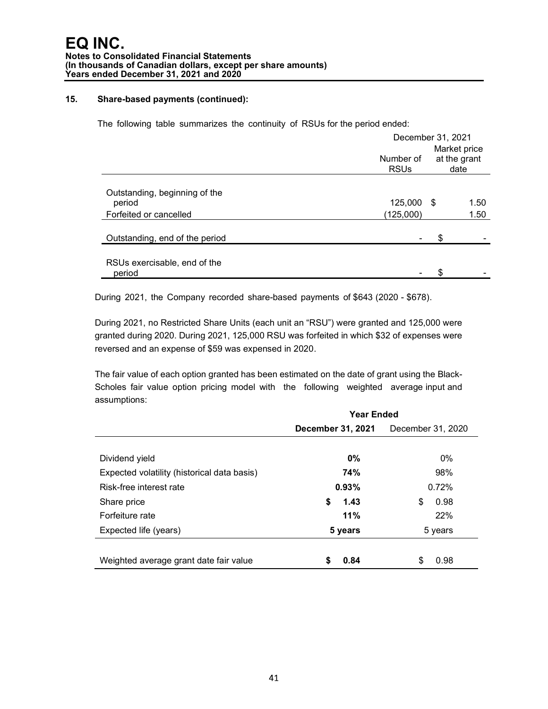#### **15. Share-based payments (continued):**

The following table summarizes the continuity of RSUs for the period ended:

|                                | December 31, 2021 |   |              |
|--------------------------------|-------------------|---|--------------|
|                                |                   |   | Market price |
|                                | Number of         |   | at the grant |
|                                | <b>RSUs</b>       |   | date         |
|                                |                   |   |              |
| Outstanding, beginning of the  |                   |   |              |
| period                         | 125,000 \$        |   | 1.50         |
| Forfeited or cancelled         | (125,000)         |   | 1.50         |
|                                |                   |   |              |
| Outstanding, end of the period |                   | S |              |
|                                |                   |   |              |
| RSUs exercisable, end of the   |                   |   |              |
| period                         |                   |   |              |
|                                |                   |   |              |

During 2021, the Company recorded share-based payments of \$643 (2020 - \$678).

During 2021, no Restricted Share Units (each unit an "RSU") were granted and 125,000 were granted during 2020. During 2021, 125,000 RSU was forfeited in which \$32 of expenses were reversed and an expense of \$59 was expensed in 2020.

The fair value of each option granted has been estimated on the date of grant using the Black-Scholes fair value option pricing model with the following weighted average input and assumptions:

|                                             | <b>Year Ended</b>        |                   |
|---------------------------------------------|--------------------------|-------------------|
|                                             | <b>December 31, 2021</b> | December 31, 2020 |
|                                             |                          |                   |
| Dividend yield                              | 0%                       | $0\%$             |
| Expected volatility (historical data basis) | 74%                      | 98%               |
| Risk-free interest rate                     | 0.93%                    | 0.72%             |
| Share price                                 | \$<br>1.43               | \$<br>0.98        |
| Forfeiture rate                             | 11%                      | 22%               |
| Expected life (years)                       | 5 years                  | 5 years           |
|                                             |                          |                   |
| Weighted average grant date fair value      | 0.84<br>S                | \$<br>0.98        |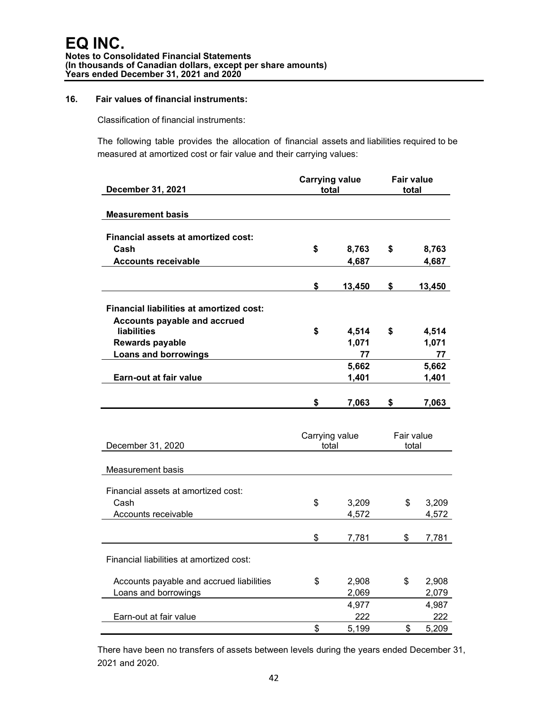#### **16. Fair values of financial instruments:**

Classification of financial instruments:

The following table provides the allocation of financial assets and liabilities required to be measured at amortized cost or fair value and their carrying values:

| December 31, 2021                               | <b>Carrying value</b><br>total |                | <b>Fair value</b><br>total |              |
|-------------------------------------------------|--------------------------------|----------------|----------------------------|--------------|
| <b>Measurement basis</b>                        |                                |                |                            |              |
|                                                 |                                |                |                            |              |
| Financial assets at amortized cost:             |                                |                |                            |              |
| Cash                                            | \$                             | 8,763          | \$                         | 8,763        |
| <b>Accounts receivable</b>                      |                                | 4,687          |                            | 4,687        |
|                                                 |                                |                |                            |              |
|                                                 | \$                             | 13,450         | \$                         | 13,450       |
| <b>Financial liabilities at amortized cost:</b> |                                |                |                            |              |
| <b>Accounts payable and accrued</b>             |                                |                |                            |              |
| <b>liabilities</b>                              | \$                             | 4,514          | \$                         | 4,514        |
| Rewards payable                                 |                                | 1,071          |                            | 1,071        |
| <b>Loans and borrowings</b>                     |                                | 77             |                            | 77           |
|                                                 |                                | 5,662          |                            | 5,662        |
| Earn-out at fair value                          |                                | 1,401          |                            | 1,401        |
|                                                 | \$                             | 7,063          | \$                         | 7,063        |
|                                                 |                                |                |                            |              |
|                                                 | Carrying value                 |                |                            | Fair value   |
| December 31, 2020                               | total                          |                |                            | total        |
|                                                 |                                |                |                            |              |
| Measurement basis                               |                                |                |                            |              |
| Financial assets at amortized cost:             |                                |                |                            |              |
| Cash                                            | \$                             | 3,209          | \$                         | 3,209        |
| Accounts receivable                             |                                | 4,572          |                            | 4,572        |
|                                                 |                                |                |                            |              |
|                                                 | \$                             | 7,781          | \$                         | 7,781        |
| Financial liabilities at amortized cost:        |                                |                |                            |              |
|                                                 |                                |                |                            |              |
|                                                 |                                |                |                            |              |
| Accounts payable and accrued liabilities        | \$                             | 2,908          | \$                         | 2,908        |
| Loans and borrowings                            |                                | 2,069<br>4,977 |                            | 2,079        |
| Earn-out at fair value                          |                                | 222            |                            | 4,987<br>222 |

There have been no transfers of assets between levels during the years ended December 31, 2021 and 2020.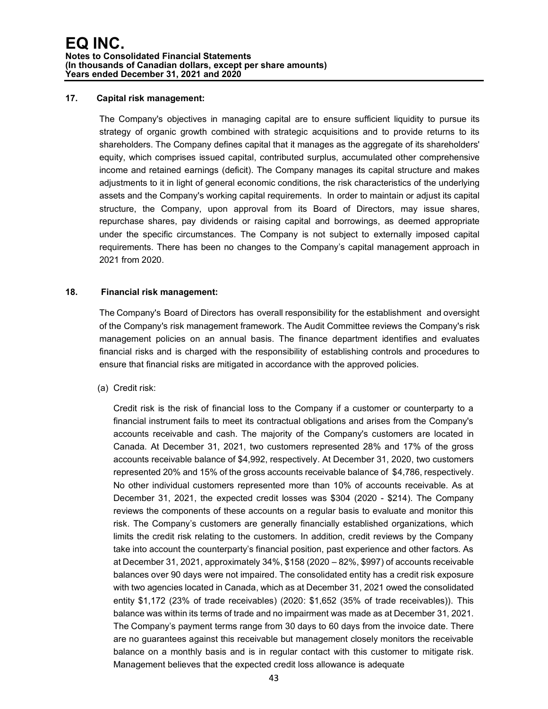#### **17. Capital risk management:**

The Company's objectives in managing capital are to ensure sufficient liquidity to pursue its strategy of organic growth combined with strategic acquisitions and to provide returns to its shareholders. The Company defines capital that it manages as the aggregate of its shareholders' equity, which comprises issued capital, contributed surplus, accumulated other comprehensive income and retained earnings (deficit). The Company manages its capital structure and makes adjustments to it in light of general economic conditions, the risk characteristics of the underlying assets and the Company's working capital requirements. In order to maintain or adjust its capital structure, the Company, upon approval from its Board of Directors, may issue shares, repurchase shares, pay dividends or raising capital and borrowings, as deemed appropriate under the specific circumstances. The Company is not subject to externally imposed capital requirements. There has been no changes to the Company's capital management approach in 2021 from 2020.

#### **18. Financial risk management:**

The Company's Board of Directors has overall responsibility for the establishment and oversight of the Company's risk management framework. The Audit Committee reviews the Company's risk management policies on an annual basis. The finance department identifies and evaluates financial risks and is charged with the responsibility of establishing controls and procedures to ensure that financial risks are mitigated in accordance with the approved policies.

(a) Credit risk:

Credit risk is the risk of financial loss to the Company if a customer or counterparty to a financial instrument fails to meet its contractual obligations and arises from the Company's accounts receivable and cash. The majority of the Company's customers are located in Canada. At December 31, 2021, two customers represented 28% and 17% of the gross accounts receivable balance of \$4,992, respectively. At December 31, 2020, two customers represented 20% and 15% of the gross accounts receivable balance of \$4,786, respectively. No other individual customers represented more than 10% of accounts receivable. As at December 31, 2021, the expected credit losses was \$304 (2020 - \$214). The Company reviews the components of these accounts on a regular basis to evaluate and monitor this risk. The Company's customers are generally financially established organizations, which limits the credit risk relating to the customers. In addition, credit reviews by the Company take into account the counterparty's financial position, past experience and other factors. As at December 31, 2021, approximately 34%, \$158 (2020 – 82%, \$997) of accounts receivable balances over 90 days were not impaired. The consolidated entity has a credit risk exposure with two agencies located in Canada, which as at December 31, 2021 owed the consolidated entity \$1,172 (23% of trade receivables) (2020: \$1,652 (35% of trade receivables)). This balance was within its terms of trade and no impairment was made as at December 31, 2021. The Company's payment terms range from 30 days to 60 days from the invoice date. There are no guarantees against this receivable but management closely monitors the receivable balance on a monthly basis and is in regular contact with this customer to mitigate risk. Management believes that the expected credit loss allowance is adequate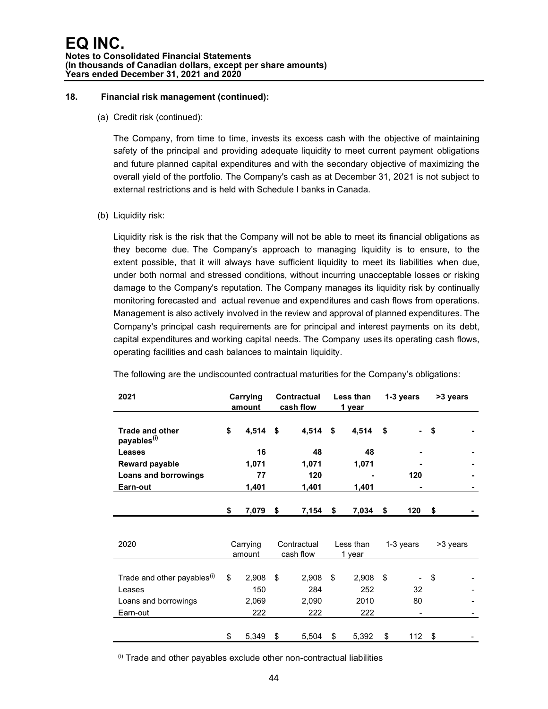#### **18. Financial risk management (continued):**

(a) Credit risk (continued):

The Company, from time to time, invests its excess cash with the objective of maintaining safety of the principal and providing adequate liquidity to meet current payment obligations and future planned capital expenditures and with the secondary objective of maximizing the overall yield of the portfolio. The Company's cash as at December 31, 2021 is not subject to external restrictions and is held with Schedule I banks in Canada.

(b) Liquidity risk:

Liquidity risk is the risk that the Company will not be able to meet its financial obligations as they become due. The Company's approach to managing liquidity is to ensure, to the extent possible, that it will always have sufficient liquidity to meet its liabilities when due, under both normal and stressed conditions, without incurring unacceptable losses or risking damage to the Company's reputation. The Company manages its liquidity risk by continually monitoring forecasted and actual revenue and expenditures and cash flows from operations. Management is also actively involved in the review and approval of planned expenditures. The Company's principal cash requirements are for principal and interest payments on its debt, capital expenditures and working capital needs. The Company uses its operating cash flows, operating facilities and cash balances to maintain liquidity.

| 2021                                                                                  | Carrying<br>amount                 | <b>Contractual</b><br>cash flow    | Less than<br>1 year               | 1-3 years      | >3 years |
|---------------------------------------------------------------------------------------|------------------------------------|------------------------------------|-----------------------------------|----------------|----------|
| <b>Trade and other</b><br>payables <sup>(i)</sup>                                     | \$<br>$4,514$ \$                   | $4,514$ \$                         | 4,514                             | \$             | \$       |
| Leases                                                                                | 16                                 | 48                                 | 48                                |                |          |
| <b>Reward payable</b>                                                                 | 1,071                              | 1,071                              | 1,071                             |                |          |
| Loans and borrowings                                                                  | 77                                 | 120                                |                                   | 120            |          |
| Earn-out                                                                              | 1,401                              | 1,401                              | 1,401                             |                |          |
|                                                                                       | \$<br>7,079                        | \$<br>7,154                        | \$<br>7,034                       | \$<br>120      | \$       |
| 2020                                                                                  | Carrying<br>amount                 | Contractual<br>cash flow           | Less than<br>1 year               | 1-3 years      | >3 years |
| Trade and other payables <sup>(i)</sup><br>Leases<br>Loans and borrowings<br>Earn-out | \$<br>2,908<br>150<br>2,069<br>222 | \$<br>2,908<br>284<br>2,090<br>222 | \$<br>2,908<br>252<br>2010<br>222 | \$<br>32<br>80 | \$       |
|                                                                                       | \$<br>5,349                        | \$<br>5,504                        | \$<br>5,392                       | \$<br>112      | \$       |

The following are the undiscounted contractual maturities for the Company's obligations:

 $(ii)$  Trade and other payables exclude other non-contractual liabilities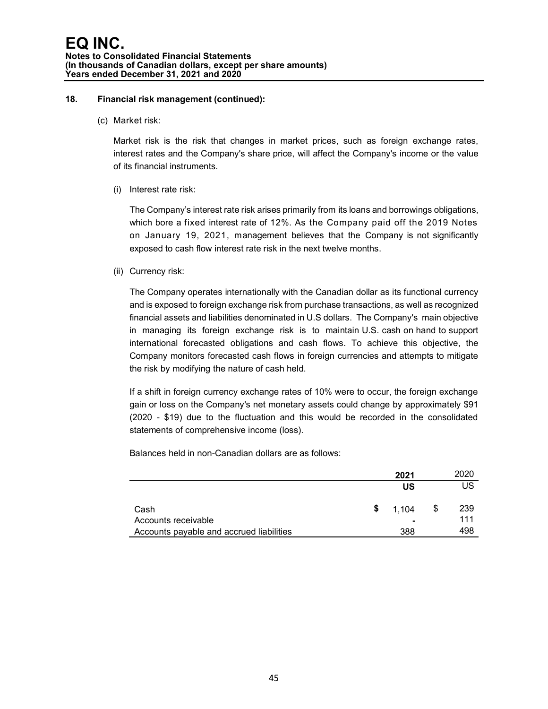#### **18. Financial risk management (continued):**

(c) Market risk:

Market risk is the risk that changes in market prices, such as foreign exchange rates, interest rates and the Company's share price, will affect the Company's income or the value of its financial instruments.

(i) Interest rate risk:

The Company's interest rate risk arises primarily from its loans and borrowings obligations, which bore a fixed interest rate of 12%. As the Company paid off the 2019 Notes on January 19, 2021, management believes that the Company is not significantly exposed to cash flow interest rate risk in the next twelve months.

(ii) Currency risk:

The Company operates internationally with the Canadian dollar as its functional currency and is exposed to foreign exchange risk from purchase transactions, as well as recognized financial assets and liabilities denominated in U.S dollars. The Company's main objective in managing its foreign exchange risk is to maintain U.S. cash on hand to support international forecasted obligations and cash flows. To achieve this objective, the Company monitors forecasted cash flows in foreign currencies and attempts to mitigate the risk by modifying the nature of cash held.

If a shift in foreign currency exchange rates of 10% were to occur, the foreign exchange gain or loss on the Company's net monetary assets could change by approximately \$91 (2020 - \$19) due to the fluctuation and this would be recorded in the consolidated statements of comprehensive income (loss).

Balances held in non-Canadian dollars are as follows:

|                                          |    | 2021  | 2020      |
|------------------------------------------|----|-------|-----------|
|                                          |    | US    | US        |
| Cash                                     | S. | 1.104 | \$<br>239 |
| Accounts receivable                      |    | -     | 111       |
| Accounts payable and accrued liabilities |    | 388   | 498       |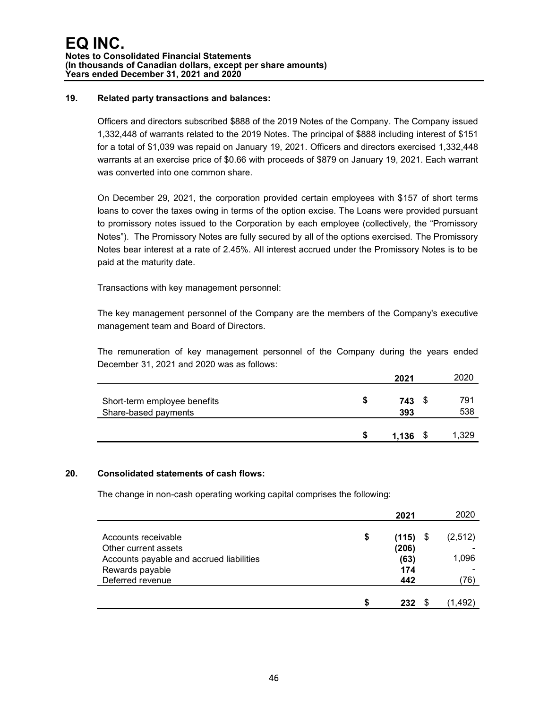#### **19. Related party transactions and balances:**

Officers and directors subscribed \$888 of the 2019 Notes of the Company. The Company issued 1,332,448 of warrants related to the 2019 Notes. The principal of \$888 including interest of \$151 for a total of \$1,039 was repaid on January 19, 2021. Officers and directors exercised 1,332,448 warrants at an exercise price of \$0.66 with proceeds of \$879 on January 19, 2021. Each warrant was converted into one common share.

On December 29, 2021, the corporation provided certain employees with \$157 of short terms loans to cover the taxes owing in terms of the option excise. The Loans were provided pursuant to promissory notes issued to the Corporation by each employee (collectively, the "Promissory Notes"). The Promissory Notes are fully secured by all of the options exercised. The Promissory Notes bear interest at a rate of 2.45%. All interest accrued under the Promissory Notes is to be paid at the maturity date.

Transactions with key management personnel:

The key management personnel of the Company are the members of the Company's executive management team and Board of Directors.

The remuneration of key management personnel of the Company during the years ended December 31, 2021 and 2020 was as follows:

|                                                      |   | 2021          | 2020       |
|------------------------------------------------------|---|---------------|------------|
| Short-term employee benefits<br>Share-based payments |   | 743 \$<br>393 | 791<br>538 |
|                                                      | S | $1,136$ \$    | 1,329      |

#### **20. Consolidated statements of cash flows:**

The change in non-cash operating working capital comprises the following:

|                                          | 2021             | 2020    |
|------------------------------------------|------------------|---------|
| Accounts receivable                      | \$<br>$(115)$ \$ | (2,512) |
| Other current assets                     | (206)            |         |
| Accounts payable and accrued liabilities | (63)             | 1,096   |
| Rewards payable                          | 174              |         |
| Deferred revenue                         | 442              | (76)    |
|                                          |                  |         |
|                                          | \$<br>\$.<br>232 | (1.492) |
|                                          |                  |         |